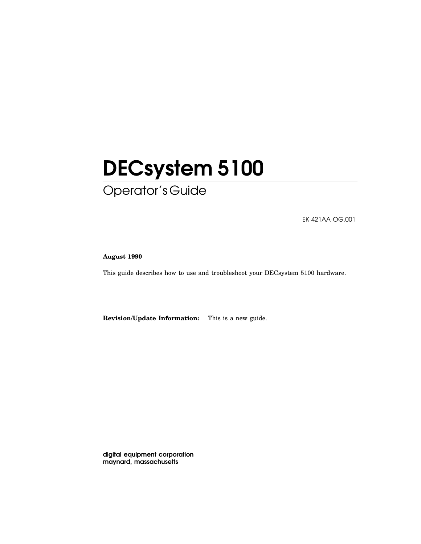# DECsystem 5100 Operator's Guide

EK-421AA-OG.001

**August 1990**

This guide describes how to use and troubleshoot your DECsystem 5100 hardware.

**Revision/Update Information:** This is a new guide.

digital equipment corporation maynard, massachusetts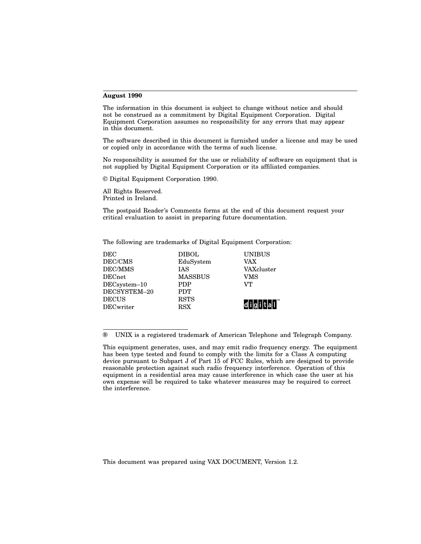#### **August 1990**

The information in this document is subject to change without notice and should not be construed as a commitment by Digital Equipment Corporation. Digital Equipment Corporation assumes no responsibility for any errors that may appear in this document.

The software described in this document is furnished under a license and may be used or copied only in accordance with the terms of such license.

No responsibility is assumed for the use or reliability of software on equipment that is not supplied by Digital Equipment Corporation or its affiliated companies.

© Digital Equipment Corporation 1990.

All Rights Reserved. Printed in Ireland.

The postpaid Reader's Comments forms at the end of this document request your critical evaluation to assist in preparing future documentation.

The following are trademarks of Digital Equipment Corporation:

| DEC              | <b>DIBOL</b>   | <b>UNIBUS</b>    |
|------------------|----------------|------------------|
| DEC/CMS          | EduSystem      | VAX              |
| DEC/MMS          | <b>TAS</b>     | VAXcluster       |
| <b>DECnet</b>    | <b>MASSBUS</b> | VMS              |
| DECsystem-10     | <b>PDP</b>     | VТ               |
| DECSYSTEM-20     | <b>PDT</b>     |                  |
| <b>DECUS</b>     | <b>RSTS</b>    |                  |
| <b>DECwriter</b> | <b>RSX</b>     | di i gli Itlal I |
|                  |                |                  |

® UNIX is a registered trademark of American Telephone and Telegraph Company.

This document was prepared using VAX DOCUMENT, Version 1.2.

This equipment generates, uses, and may emit radio frequency energy. The equipment has been type tested and found to comply with the limits for a Class A computing device pursuant to Subpart J of Part 15 of FCC Rules, which are designed to provide reasonable protection against such radio frequency interference. Operation of this equipment in a residential area may cause interference in which case the user at his own expense will be required to take whatever measures may be required to correct the interference.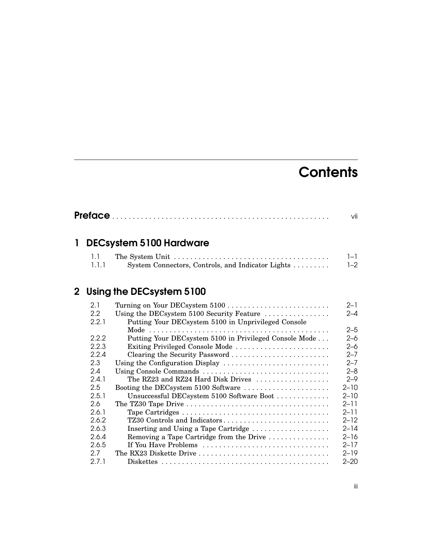# **Contents**

|  |                           | vii |
|--|---------------------------|-----|
|  | 1 DECsystem 5100 Hardware |     |
|  |                           |     |

| $\blacksquare$ |                                                   | $-1$    |
|----------------|---------------------------------------------------|---------|
| 1.1.1          | System Connectors, Controls, and Indicator Lights | $1 - 2$ |

# 2 Using the DECsystem 5100

| Turning on Your DECsystem 5100                         | $2 - 1$                                                                                                                             |
|--------------------------------------------------------|-------------------------------------------------------------------------------------------------------------------------------------|
| Using the DECsystem 5100 Security Feature              | 2–4                                                                                                                                 |
| Putting Your DECsystem 5100 in Unprivileged Console    |                                                                                                                                     |
|                                                        | $2 - 5$                                                                                                                             |
| Putting Your DECsystem 5100 in Privileged Console Mode | 2–6                                                                                                                                 |
| Exiting Privileged Console Mode                        | $2 - 6$                                                                                                                             |
|                                                        | $2 - 7$                                                                                                                             |
|                                                        | $2 - 7$                                                                                                                             |
|                                                        | $2 - 8$                                                                                                                             |
| The RZ23 and RZ24 Hard Disk Drives                     | $2 - 9$                                                                                                                             |
| Booting the DECsystem 5100 Software                    | $2 - 10$                                                                                                                            |
| Unsuccessful DECsystem 5100 Software Boot              | $2 - 10$                                                                                                                            |
|                                                        | $2 - 11$                                                                                                                            |
|                                                        | $2 - 11$                                                                                                                            |
| TZ30 Controls and Indicators                           | $2 - 12$                                                                                                                            |
|                                                        | $2 - 14$                                                                                                                            |
| Removing a Tape Cartridge from the Drive               | 2–16                                                                                                                                |
| If You Have Problems                                   | $2 - 17$                                                                                                                            |
| The RX23 Diskette Drive                                | $2 - 19$                                                                                                                            |
|                                                        | $2 - 20$                                                                                                                            |
|                                                        | Clearing the Security Password<br>Using the Configuration Display<br>Using Console Commands<br>Inserting and Using a Tape Cartridge |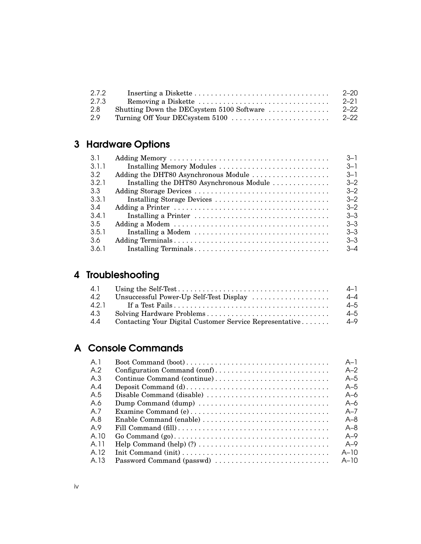| 2.7.2 |                                           | -2–20    |
|-------|-------------------------------------------|----------|
| 2.7.3 |                                           | $2 - 21$ |
| 2.8   | Shutting Down the DECsystem 5100 Software | - 2–22   |
| 2.9   |                                           | $2 - 22$ |

# 3 Hardware Options

|                                          | $-3-1$  |
|------------------------------------------|---------|
| Installing Memory Modules                | $3 - 1$ |
| Adding the DHT80 Asynchronous Module     | $3 - 1$ |
| Installing the DHT80 Asynchronous Module | $3 - 2$ |
|                                          | $3 - 2$ |
| Installing Storage Devices               | $3 - 2$ |
|                                          | $3 - 2$ |
|                                          | $3 - 3$ |
|                                          | $3 - 3$ |
| Installing a Modem                       | $3 - 3$ |
|                                          | $3 - 3$ |
|                                          | $-4.3$  |
|                                          |         |

# 4 Troubleshooting

| 4.1   |                                                         | $4-1$   |
|-------|---------------------------------------------------------|---------|
| 4.2   | Unsuccessful Power-Up Self-Test Display                 | $4 - 4$ |
| 4.2.1 |                                                         | $4 - 5$ |
| 4.3   |                                                         | $4 - 5$ |
| 4.4   | Contacting Your Digital Customer Service Representative | 4–9     |

# A Console Commands

| A <sub>1</sub> |                             | $A-1$   |
|----------------|-----------------------------|---------|
| A.2            |                             | $A-2$   |
| A.3            | Continue Command (continue) | $A-5$   |
| A.4            |                             | $A-5$   |
| A.5            | Disable Command (disable)   | A–6     |
| A.6            | Dump Command (dump)         | A–6     |
| A.7            |                             | $A - 7$ |
| A.8            | Enable Command (enable)     | $A - 8$ |
| A.9            |                             | $A - 8$ |
| A.10           |                             | $A - Q$ |
| A.11           |                             | $A - Q$ |
| A.12           |                             | $A-10$  |
| A.13           | Password Command (passwd)   | $A-10$  |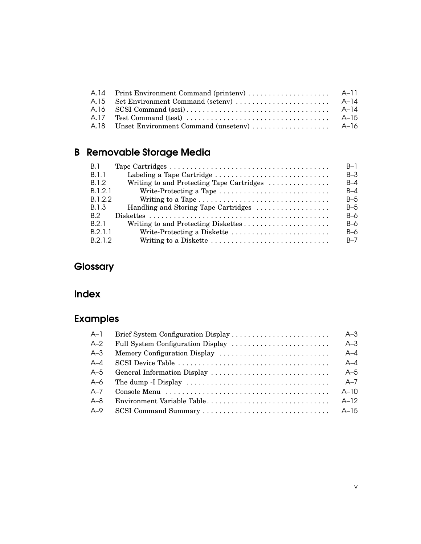# B Removable Storage Media

| <b>B.1</b>   |                                                                                   | $B-1$   |
|--------------|-----------------------------------------------------------------------------------|---------|
| <b>B.1.1</b> |                                                                                   | $B-3$   |
| B.1.2        | Writing to and Protecting Tape Cartridges                                         | $B - 4$ |
| B.1.2.1      | Write-Protecting a Tape $\dots\dots\dots\dots\dots\dots\dots\dots\dots\dots\dots$ | $B - 4$ |
| B.1.2.2      | Writing to a Tape                                                                 | $B-5$   |
| B. 1.3       | Handling and Storing Tape Cartridges                                              | $B-5$   |
| B.2          |                                                                                   | $B-6$   |
| B.2.1        |                                                                                   | $B-6$   |
| B.2.1.1      | Write-Protecting a Diskette                                                       | $B-6$   |
| B.2.1.2      | Writing to a Diskette                                                             | $B - 7$ |

# **Glossary**

# Index

# Examples

| $A-1$   |                            | $A-3$   |
|---------|----------------------------|---------|
| $A-2$   |                            | $A-3$   |
| $A-3$   |                            | $A - 4$ |
| $A - 4$ |                            | $A - 4$ |
| $A-5$   |                            | $A-5$   |
| A–6     |                            | $A - 7$ |
| $A - 7$ |                            | $A-10$  |
| $A - 8$ | Environment Variable Table | $A-12$  |
| $A-9$   |                            |         |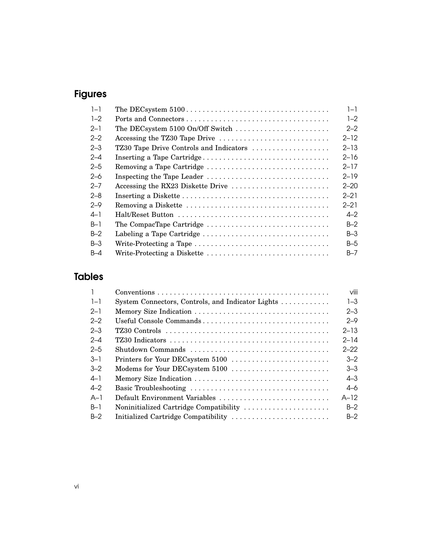# Figures

| $1 - 1$ |                                         | $1 - 1$  |
|---------|-----------------------------------------|----------|
| $1 - 2$ |                                         | $1 - 2$  |
| $2 - 1$ | The DECsystem 5100 On/Off Switch        | $2 - 2$  |
| $2 - 2$ | Accessing the TZ30 Tape Drive           | $2 - 12$ |
| $2 - 3$ | TZ30 Tape Drive Controls and Indicators | $2 - 13$ |
| $2 - 4$ | Inserting a Tape Cartridge              | $2 - 16$ |
| $2 - 5$ | Removing a Tape Cartridge               | $2 - 17$ |
| $2 - 6$ | Inspecting the Tape Leader              | $2 - 19$ |
| $2 - 7$ |                                         | $2 - 20$ |
| $2 - 8$ |                                         | $2 - 21$ |
| $2 - 9$ |                                         | $2 - 21$ |
| $4 - 1$ |                                         | $4 - 2$  |
| $B-1$   | The CompacTape Cartridge                | $B-2$    |
| $B-2$   | Labeling a Tape Cartridge               | $B-3$    |
| $B-3$   | Write-Protecting a Tape                 | $B-5$    |
| $B-4$   | Write-Protecting a Diskette             | $B - 7$  |
|         |                                         |          |

# Tables

|         |                                                   | viii     |
|---------|---------------------------------------------------|----------|
| $1 - 1$ | System Connectors, Controls, and Indicator Lights | $1 - 3$  |
| $2-1$   |                                                   | $2 - 3$  |
| $2 - 2$ | Useful Console Commands                           | $2 - 9$  |
| $2 - 3$ |                                                   | $2 - 13$ |
| $2 - 4$ |                                                   | $2 - 14$ |
| $2 - 5$ | Shutdown Commands                                 | $2 - 22$ |
| $-3-1$  | Printers for Your DECsystem 5100                  | $3 - 2$  |
| $3 - 2$ | Modems for Your DECsystem 5100                    | $3 - 3$  |
| $4 - 1$ |                                                   | $4 - 3$  |
| $4 - 2$ |                                                   | 4–6      |
| $A-1$   | Default Environment Variables                     | $A-12$   |
| $B-1$   | Noninitialized Cartridge Compatibility            | $B-2$    |
| $B-2$   | Initialized Cartridge Compatibility               | $B-2$    |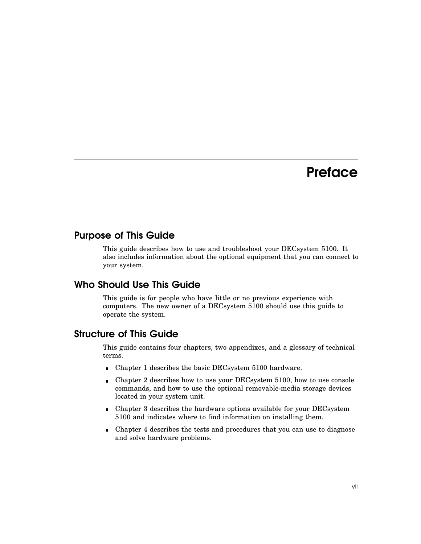# **Preface**

## Purpose of This Guide

This guide describes how to use and troubleshoot your DECsystem 5100. It also includes information about the optional equipment that you can connect to your system.

## Who Should Use This Guide

This guide is for people who have little or no previous experience with computers. The new owner of a DECsystem 5100 should use this guide to operate the system.

#### Structure of This Guide

This guide contains four chapters, two appendixes, and a glossary of technical terms.

- Chapter 1 describes the basic DECsystem 5100 hardware.  $\blacksquare$
- Chapter 2 describes how to use your DECsystem 5100, how to use console  $\blacksquare$ commands, and how to use the optional removable-media storage devices located in your system unit.
- Chapter 3 describes the hardware options available for your DECsystem 5100 and indicates where to find information on installing them.
- Chapter 4 describes the tests and procedures that you can use to diagnose  $\blacksquare$ and solve hardware problems.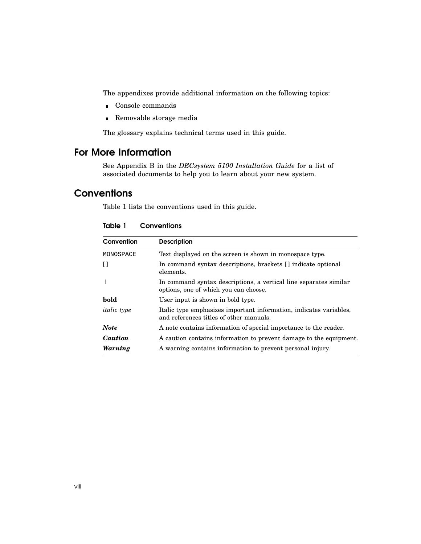The appendixes provide additional information on the following topics:

- Console commands
- Removable storage media

The glossary explains technical terms used in this guide.

## For More Information

See Appendix B in the *DECsystem 5100 Installation Guide* for a list of associated documents to help you to learn about your new system.

## **Conventions**

Table 1 lists the conventions used in this guide.

| Convention         | <b>Description</b>                                                                                            |
|--------------------|---------------------------------------------------------------------------------------------------------------|
| MONOSPACE          | Text displayed on the screen is shown in monospace type.                                                      |
| Ħ                  | In command syntax descriptions, brackets [] indicate optional<br>elements.                                    |
|                    | In command syntax descriptions, a vertical line separates similar<br>options, one of which you can choose.    |
| bold               | User input is shown in bold type.                                                                             |
| <i>italic</i> type | Italic type emphasizes important information, indicates variables,<br>and references titles of other manuals. |
| <b>Note</b>        | A note contains information of special importance to the reader.                                              |
| Caution            | A caution contains information to prevent damage to the equipment.                                            |
| Warning            | A warning contains information to prevent personal injury.                                                    |

Table 1 Conventions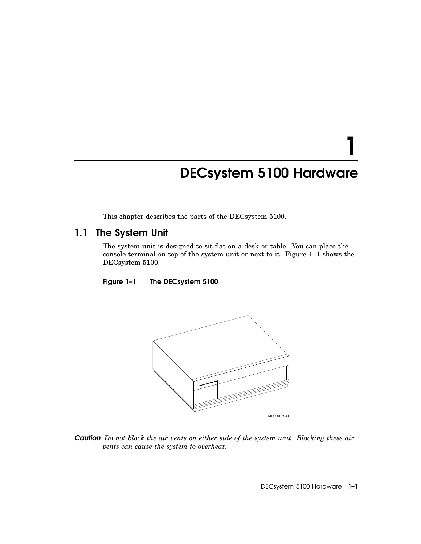# DECsystem 5100 Hardware

1

This chapter describes the parts of the DECsystem 5100.

# 1.1 The System Unit

The system unit is designed to sit flat on a desk or table. You can place the console terminal on top of the system unit or next to it. Figure 1–1 shows the DECsystem 5100.

Figure 1–1 The DECsystem 5100



*Caution Do not block the air vents on either side of the system unit. Blocking these air vents can cause the system to overheat.*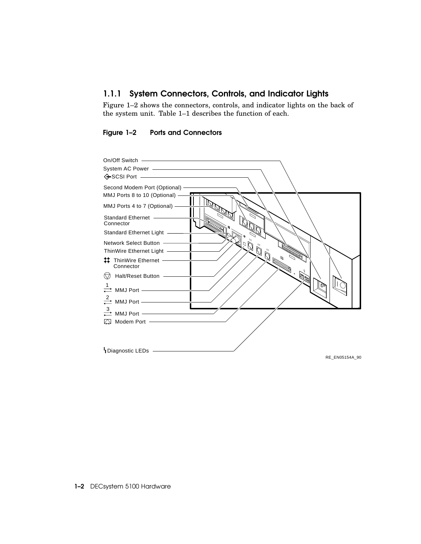### 1.1.1 System Connectors, Controls, and Indicator Lights

Figure 1–2 shows the connectors, controls, and indicator lights on the back of the system unit. Table 1–1 describes the function of each.

#### Figure 1–2 Ports and Connectors



1-2 DECsystem 5100 Hardware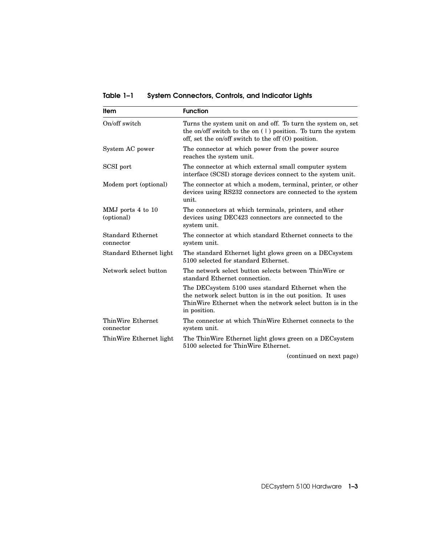Table 1–1 System Connectors, Controls, and Indicator Lights

| <b>Item</b>                           | <b>Function</b>                                                                                                                                                                               |
|---------------------------------------|-----------------------------------------------------------------------------------------------------------------------------------------------------------------------------------------------|
| On/off switch                         | Turns the system unit on and off. To turn the system on, set<br>the on/off switch to the on $(1)$ position. To turn the system<br>off, set the on/off switch to the off $(0)$ position.       |
| System AC power                       | The connector at which power from the power source<br>reaches the system unit.                                                                                                                |
| SCSI port                             | The connector at which external small computer system<br>interface (SCSI) storage devices connect to the system unit.                                                                         |
| Modem port (optional)                 | The connector at which a modem, terminal, printer, or other<br>devices using RS232 connectors are connected to the system<br>unit.                                                            |
| MMJ ports 4 to 10<br>(optional)       | The connectors at which terminals, printers, and other<br>devices using DEC423 connectors are connected to the<br>system unit.                                                                |
| <b>Standard Ethernet</b><br>connector | The connector at which standard Ethernet connects to the<br>system unit.                                                                                                                      |
| Standard Ethernet light               | The standard Ethernet light glows green on a DEC system<br>5100 selected for standard Ethernet.                                                                                               |
| Network select button                 | The network select button selects between ThinWire or<br>standard Ethernet connection.                                                                                                        |
|                                       | The DECsystem 5100 uses standard Ethernet when the<br>the network select button is in the out position. It uses<br>ThinWire Ethernet when the network select button is in the<br>in position. |
| ThinWire Ethernet<br>connector        | The connector at which ThinWire Ethernet connects to the<br>system unit.                                                                                                                      |
| ThinWire Ethernet light               | The ThinWire Ethernet light glows green on a DEC system<br>5100 selected for ThinWire Ethernet.                                                                                               |

(continued on next page)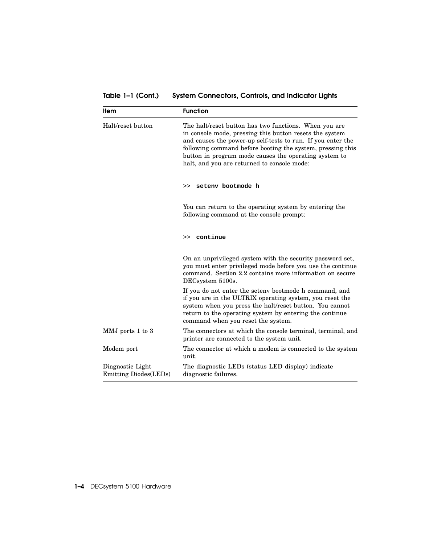Table 1-1 (Cont.) System Connectors, Controls, and Indicator Lights

| <b>Item</b>                                       | <b>Function</b>                                                                                                                                                                                                                                                                                                                                       |
|---------------------------------------------------|-------------------------------------------------------------------------------------------------------------------------------------------------------------------------------------------------------------------------------------------------------------------------------------------------------------------------------------------------------|
| Halt/reset button                                 | The halt/reset button has two functions. When you are<br>in console mode, pressing this button resets the system<br>and causes the power-up self-tests to run. If you enter the<br>following command before booting the system, pressing this<br>button in program mode causes the operating system to<br>halt, and you are returned to console mode: |
|                                                   | setenv bootmode h<br>>                                                                                                                                                                                                                                                                                                                                |
|                                                   | You can return to the operating system by entering the<br>following command at the console prompt:                                                                                                                                                                                                                                                    |
|                                                   | >> continue                                                                                                                                                                                                                                                                                                                                           |
|                                                   | On an unprivileged system with the security password set,<br>you must enter privileged mode before you use the continue<br>command. Section 2.2 contains more information on secure<br>DECsystem 5100s.                                                                                                                                               |
|                                                   | If you do not enter the setenv bootmode h command, and<br>if you are in the ULTRIX operating system, you reset the<br>system when you press the halt/reset button. You cannot<br>return to the operating system by entering the continue<br>command when you reset the system.                                                                        |
| MMJ ports 1 to 3                                  | The connectors at which the console terminal, terminal, and<br>printer are connected to the system unit.                                                                                                                                                                                                                                              |
| Modem port                                        | The connector at which a modem is connected to the system<br>unit.                                                                                                                                                                                                                                                                                    |
| Diagnostic Light<br><b>Emitting Diodes</b> (LEDs) | The diagnostic LEDs (status LED display) indicate<br>diagnostic failures.                                                                                                                                                                                                                                                                             |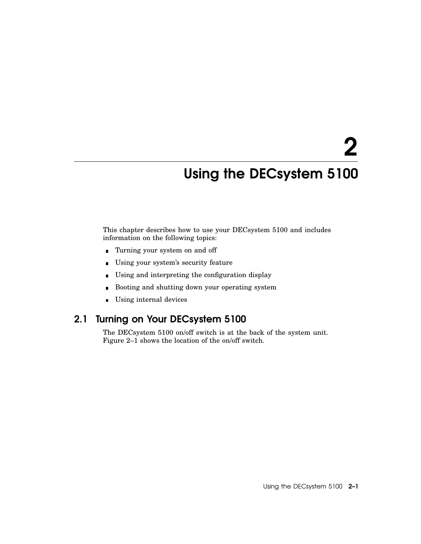# 2

# Using the DECsystem 5100

This chapter describes how to use your DECsystem 5100 and includes information on the following topics:

- Turning your system on and off
- Using your system's security feature  $\blacksquare$
- Using and interpreting the configuration display  $\blacksquare$
- Booting and shutting down your operating system  $\blacksquare$
- Using internal devices

# 2.1 Turning on Your DECsystem 5100

The DECsystem 5100 on/off switch is at the back of the system unit. Figure 2–1 shows the location of the on/off switch.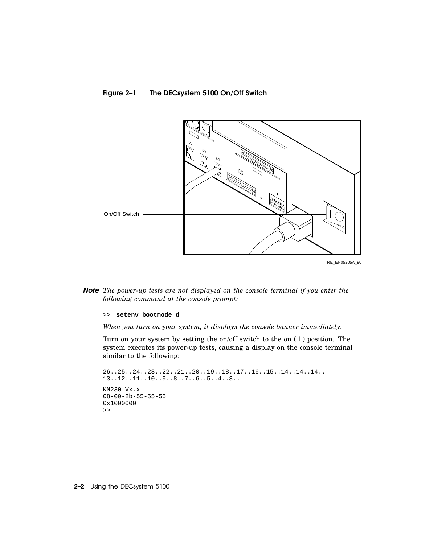#### Figure 2–1 The DECsystem 5100 On/Off Switch



*Note The power-up tests are not displayed on the console terminal if you enter the following command at the console prompt:*

>> **setenv bootmode d**

*When you turn on your system, it displays the console banner immediately.*

Turn on your system by setting the on/off switch to the on ( | ) position. The system executes its power-up tests, causing a display on the console terminal similar to the following:

```
26..25..24..23..22..21..20..19..18..17..16..15..14..14..14..
13..12..11..10..9..8..7..6..5..4..3..
KN230 Vx.x
08-00-2b-55-55-55
0x1000000
>>
```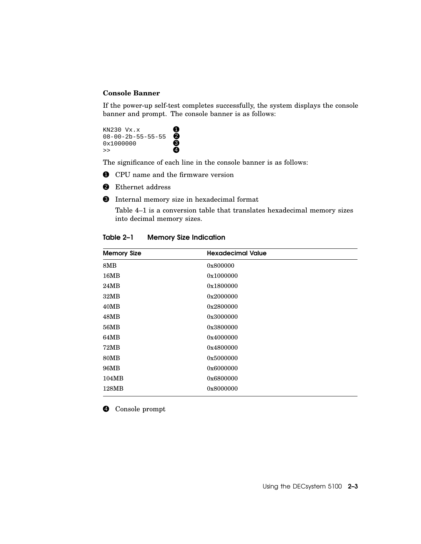#### **Console Banner**

If the power-up self-test completes successfully, the system displays the console banner and prompt. The console banner is as follows:

KN230  $Vx.x$  $08-00-2b-55-55-55$  $0 \times 1000000$   $\bullet$  $\rightarrow$  4

The significance of each line in the console banner is as follows:

- $\bullet$  CPU name and the firmware version
- <sup>2</sup> Ethernet address
- 3 Internal memory size in hexadecimal format

Table 4–1 is a conversion table that translates hexadecimal memory sizes into decimal memory sizes.

| <b>Memory Size</b> | <b>Hexadecimal Value</b> |  |
|--------------------|--------------------------|--|
| 8MB                | 0x800000                 |  |
| 16MB               | 0x1000000                |  |
| 24MB               | 0x1800000                |  |
| 32MB               | 0x2000000                |  |
| 40MB               | 0x2800000                |  |
| 48MB               | 0x3000000                |  |
| 56MB               | 0x3800000                |  |
| 64MB               | 0x4000000                |  |
| 72MB               | 0x4800000                |  |
| <b>80MB</b>        | 0x5000000                |  |
| 96MB               | 0x6000000                |  |
| 104MB              | 0x6800000                |  |
| 128MB              | 0x8000000                |  |

Table 2–1 Memory Size Indication

4 Console prompt

Using the DECsystem 5100 2–3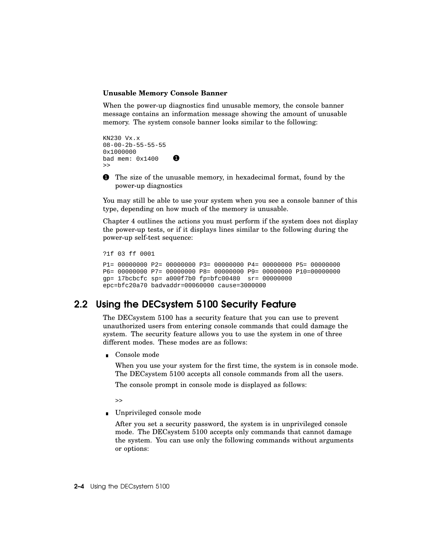#### **Unusable Memory Console Banner**

When the power-up diagnostics find unusable memory, the console banner message contains an information message showing the amount of unusable memory. The system console banner looks similar to the following:

KN230 Vx.x 08-00-2b-55-55-55 0x1000000 bad mem:  $0x1400$  $\rightarrow$ 

1 The size of the unusable memory, in hexadecimal format, found by the power-up diagnostics

You may still be able to use your system when you see a console banner of this type, depending on how much of the memory is unusable.

Chapter 4 outlines the actions you must perform if the system does not display the power-up tests, or if it displays lines similar to the following during the power-up self-test sequence:

?1f 03 ff 0001

```
P1= 00000000 P2= 00000000 P3= 00000000 P4= 00000000 P5= 00000000
P6= 00000000 P7= 00000000 P8= 00000000 P9= 00000000 P10=00000000
gp= 17bcbcfc sp= a000f7b0 fp=bfc00480 sr= 00000000
epc=bfc20a70 badvaddr=00060000 cause=3000000
```
#### 2.2 Using the DECsystem 5100 Security Feature

The DECsystem 5100 has a security feature that you can use to prevent unauthorized users from entering console commands that could damage the system. The security feature allows you to use the system in one of three different modes. These modes are as follows:

Console mode

When you use your system for the first time, the system is in console mode. The DECsystem 5100 accepts all console commands from all the users.

The console prompt in console mode is displayed as follows:

>>

Unprivileged console mode

After you set a security password, the system is in unprivileged console mode. The DECsystem 5100 accepts only commands that cannot damage the system. You can use only the following commands without arguments or options: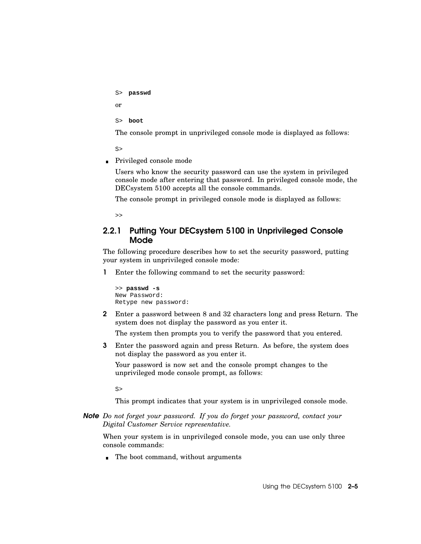```
S> passwd
or
S> boot
```
The console prompt in unprivileged console mode is displayed as follows:

S>

■ Privileged console mode

Users who know the security password can use the system in privileged console mode after entering that password. In privileged console mode, the DECsystem 5100 accepts all the console commands.

The console prompt in privileged console mode is displayed as follows:

>>

#### 2.2.1 Putting Your DECsystem 5100 in Unprivileged Console Mode

The following procedure describes how to set the security password, putting your system in unprivileged console mode:

1 Enter the following command to set the security password:

```
>> passwd -s
New Password:
Retype new password:
```
2 Enter a password between 8 and 32 characters long and press Return. The system does not display the password as you enter it.

The system then prompts you to verify the password that you entered.

3 Enter the password again and press Return. As before, the system does not display the password as you enter it.

Your password is now set and the console prompt changes to the unprivileged mode console prompt, as follows:

S>

This prompt indicates that your system is in unprivileged console mode.

#### *Note Do not forget your password. If you do forget your password, contact your Digital Customer Service representative.*

When your system is in unprivileged console mode, you can use only three console commands:

The boot command, without arguments  $\blacksquare$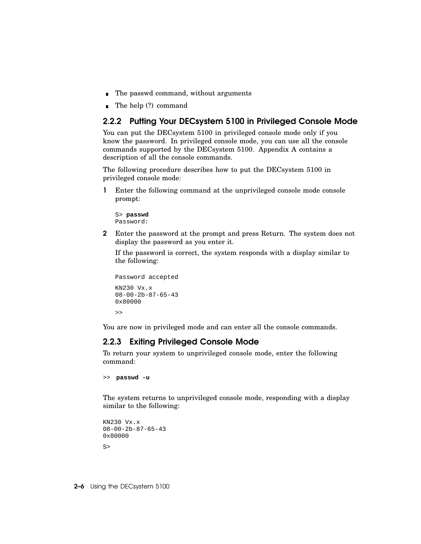- The passwd command, without arguments
- The help (?) command  $\blacksquare$

#### 2.2.2 Putting Your DECsystem 5100 in Privileged Console Mode

You can put the DECsystem 5100 in privileged console mode only if you know the password. In privileged console mode, you can use all the console commands supported by the DECsystem 5100. Appendix A contains a description of all the console commands.

The following procedure describes how to put the DECsystem 5100 in privileged console mode:

1 Enter the following command at the unprivileged console mode console prompt:

S> **passwd** Password:

2 Enter the password at the prompt and press Return. The system does not display the password as you enter it.

If the password is correct, the system responds with a display similar to the following:

```
Password accepted
KN230 Vx.x
08-00-2b-87-65-43
0x80000
\rightarrow
```
You are now in privileged mode and can enter all the console commands.

#### 2.2.3 Exiting Privileged Console Mode

To return your system to unprivileged console mode, enter the following command:

```
>> passwd -u
```
The system returns to unprivileged console mode, responding with a display similar to the following:

```
KN230 Vx.x
08-00-2b-87-65-430x80000
S>
```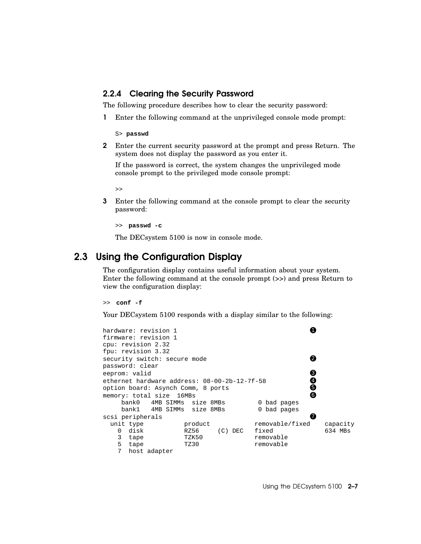#### 2.2.4 Clearing the Security Password

The following procedure describes how to clear the security password:

1 Enter the following command at the unprivileged console mode prompt:

S> **passwd**

2 Enter the current security password at the prompt and press Return. The system does not display the password as you enter it.

If the password is correct, the system changes the unprivileged mode console prompt to the privileged mode console prompt:

>>

3 Enter the following command at the console prompt to clear the security password:

>> **passwd -c**

The DECsystem 5100 is now in console mode.

## 2.3 Using the Configuration Display

The configuration display contains useful information about your system. Enter the following command at the console prompt (>>) and press Return to view the configuration display:

>> **conf -f**

Your DEC system 5100 responds with a display similar to the following:



Using the DECsystem 5100 2–7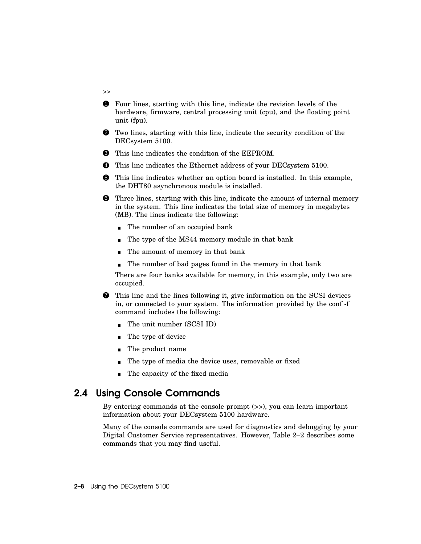- 1 Four lines, starting with this line, indicate the revision levels of the hardware, firmware, central processing unit (cpu), and the floating point unit (fpu).
- 2 Two lines, starting with this line, indicate the security condition of the DECsystem 5100.
- $\bullet$  This line indicates the condition of the EEPROM.
- 4 This line indicates the Ethernet address of your DECsystem 5100.
- 5 This line indicates whether an option board is installed. In this example, the DHT80 asynchronous module is installed.
- 6 Three lines, starting with this line, indicate the amount of internal memory in the system. This line indicates the total size of memory in megabytes (MB). The lines indicate the following:
	- The number of an occupied bank
	- The type of the MS44 memory module in that bank  $\blacksquare$
	- The amount of memory in that bank  $\blacksquare$
	- The number of bad pages found in the memory in that bank

There are four banks available for memory, in this example, only two are occupied.

- 7 This line and the lines following it, give information on the SCSI devices in, or connected to your system. The information provided by the conf -f command includes the following:
	- The unit number (SCSI ID)
	- **The type of device**
	- The product name
	- The type of media the device uses, removable or fixed
	- The capacity of the fixed media

## 2.4 Using Console Commands

By entering commands at the console prompt (>>), you can learn important information about your DECsystem 5100 hardware.

Many of the console commands are used for diagnostics and debugging by your Digital Customer Service representatives. However, Table 2–2 describes some commands that you may find useful.

>>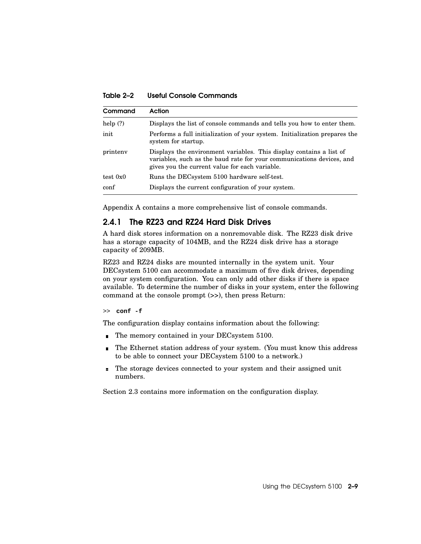Table 2–2 Useful Console Commands

| Command    | Action                                                                                                                                                                                         |
|------------|------------------------------------------------------------------------------------------------------------------------------------------------------------------------------------------------|
| help $(?)$ | Displays the list of console commands and tells you how to enter them.                                                                                                                         |
| init       | Performs a full initialization of your system. Initialization prepares the<br>system for startup.                                                                                              |
| printeny   | Displays the environment variables. This display contains a list of<br>variables, such as the baud rate for your communications devices, and<br>gives you the current value for each variable. |
| test 0x0   | Runs the DECsystem 5100 hardware self-test.                                                                                                                                                    |
| conf       | Displays the current configuration of your system.                                                                                                                                             |

Appendix A contains a more comprehensive list of console commands.

#### 2.4.1 The RZ23 and RZ24 Hard Disk Drives

A hard disk stores information on a nonremovable disk. The RZ23 disk drive has a storage capacity of 104MB, and the RZ24 disk drive has a storage capacity of 209MB.

RZ23 and RZ24 disks are mounted internally in the system unit. Your DECsystem 5100 can accommodate a maximum of five disk drives, depending on your system configuration. You can only add other disks if there is space available. To determine the number of disks in your system, enter the following command at the console prompt (>>), then press Return:

>> **conf -f**

The configuration display contains information about the following:

- The memory contained in your DECsystem 5100.
- The Ethernet station address of your system. (You must know this address  $\blacksquare$ to be able to connect your DECsystem 5100 to a network.)
- The storage devices connected to your system and their assigned unit  $\blacksquare$ numbers.

Section 2.3 contains more information on the configuration display.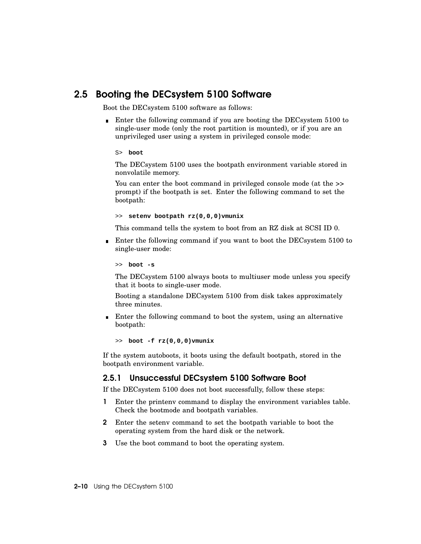## 2.5 Booting the DECsystem 5100 Software

Boot the DECsystem 5100 software as follows:

Enter the following command if you are booting the DECsystem 5100 to single-user mode (only the root partition is mounted), or if you are an unprivileged user using a system in privileged console mode:

S> **boot**

The DECsystem 5100 uses the bootpath environment variable stored in nonvolatile memory.

You can enter the boot command in privileged console mode (at the  $\gg$ prompt) if the bootpath is set. Enter the following command to set the bootpath:

>> **setenv bootpath rz(0,0,0)vmunix**

This command tells the system to boot from an RZ disk at SCSI ID 0.

Enter the following command if you want to boot the DECsystem 5100 to single-user mode:

>> **boot -s**

The DECsystem 5100 always boots to multiuser mode unless you specify that it boots to single-user mode.

Booting a standalone DECsystem 5100 from disk takes approximately three minutes.

**Enter the following command to boot the system, using an alternative** bootpath:

>> **boot -f rz(0,0,0)vmunix**

If the system autoboots, it boots using the default bootpath, stored in the bootpath environment variable.

#### 2.5.1 Unsuccessful DECsystem 5100 Software Boot

If the DECsystem 5100 does not boot successfully, follow these steps:

- 1 Enter the printenv command to display the environment variables table. Check the bootmode and bootpath variables.
- 2 Enter the setenv command to set the bootpath variable to boot the operating system from the hard disk or the network.
- 3 Use the boot command to boot the operating system.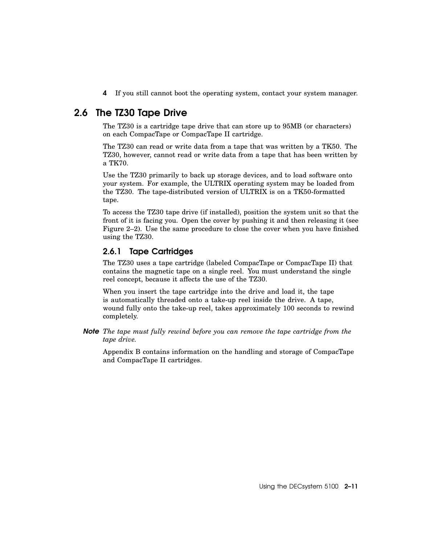4 If you still cannot boot the operating system, contact your system manager.

# 2.6 The TZ30 Tape Drive

The TZ30 is a cartridge tape drive that can store up to 95MB (or characters) on each CompacTape or CompacTape II cartridge.

The TZ30 can read or write data from a tape that was written by a TK50. The TZ30, however, cannot read or write data from a tape that has been written by a TK70.

Use the TZ30 primarily to back up storage devices, and to load software onto your system. For example, the ULTRIX operating system may be loaded from the TZ30. The tape-distributed version of ULTRIX is on a TK50-formatted tape.

To access the TZ30 tape drive (if installed), position the system unit so that the front of it is facing you. Open the cover by pushing it and then releasing it (see Figure 2–2). Use the same procedure to close the cover when you have finished using the TZ30.

#### 2.6.1 Tape Cartridges

The TZ30 uses a tape cartridge (labeled CompacTape or CompacTape II) that contains the magnetic tape on a single reel. You must understand the single reel concept, because it affects the use of the TZ30.

When you insert the tape cartridge into the drive and load it, the tape is automatically threaded onto a take-up reel inside the drive. A tape, wound fully onto the take-up reel, takes approximately 100 seconds to rewind completely.

*Note The tape must fully rewind before you can remove the tape cartridge from the tape drive.*

Appendix B contains information on the handling and storage of CompacTape and CompacTape II cartridges.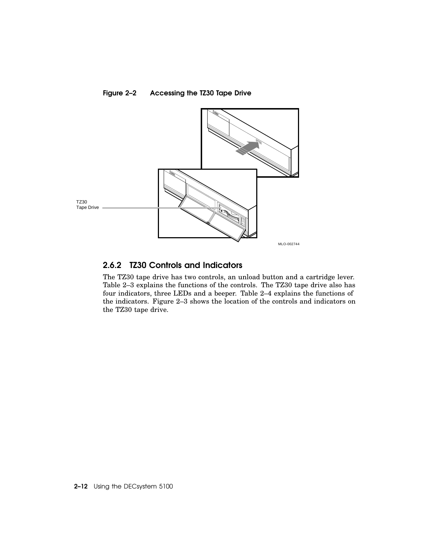

Figure 2–2 Accessing the TZ30 Tape Drive

#### 2.6.2 TZ30 Controls and Indicators

The TZ30 tape drive has two controls, an unload button and a cartridge lever. Table 2–3 explains the functions of the controls. The TZ30 tape drive also has four indicators, three LEDs and a beeper. Table 2–4 explains the functions of the indicators. Figure 2–3 shows the location of the controls and indicators on the TZ30 tape drive.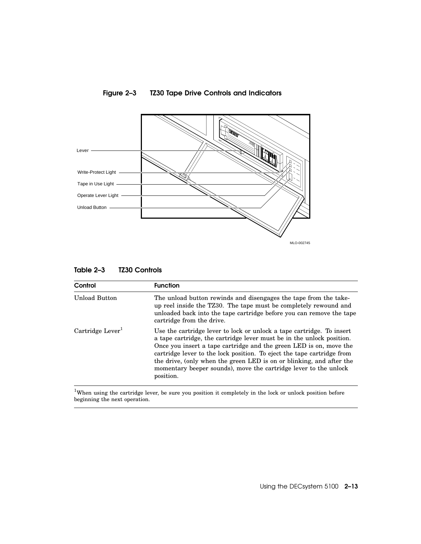

#### Figure 2–3 TZ30 Tape Drive Controls and Indicators

| Control                        | <b>Function</b>                                                                                                                                                                                                                                                                                                                                                                                                                                         |
|--------------------------------|---------------------------------------------------------------------------------------------------------------------------------------------------------------------------------------------------------------------------------------------------------------------------------------------------------------------------------------------------------------------------------------------------------------------------------------------------------|
| Unload Button                  | The unload button rewinds and disengages the tape from the take-<br>up reel inside the TZ30. The tape must be completely rewound and<br>unloaded back into the tape cartridge before you can remove the tape<br>cartridge from the drive.                                                                                                                                                                                                               |
| $Cartridge$ Lever <sup>1</sup> | Use the cartridge lever to lock or unlock a tape cartridge. To insert<br>a tape cartridge, the cartridge lever must be in the unlock position.<br>Once you insert a tape cartridge and the green LED is on, move the<br>cartridge lever to the lock position. To eject the tape cartridge from<br>the drive, (only when the green LED is on or blinking, and after the<br>momentary beeper sounds), move the cartridge lever to the unlock<br>position. |

<sup>1</sup>When using the cartridge lever, be sure you position it completely in the lock or unlock position before beginning the next operation.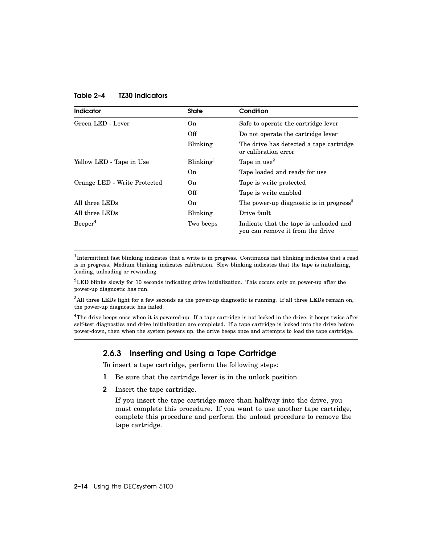|  | Table 2–4 | <b>TZ30 Indicators</b> |
|--|-----------|------------------------|
|--|-----------|------------------------|

| Indicator                    | <b>State</b>          | Condition                                                                  |
|------------------------------|-----------------------|----------------------------------------------------------------------------|
| Green LED - Lever            | On.                   | Safe to operate the cartridge lever                                        |
|                              | Off                   | Do not operate the cartridge lever                                         |
|                              | Blinking              | The drive has detected a tape cartridge<br>or calibration error            |
| Yellow LED - Tape in Use     | Blinking <sup>1</sup> | Tape in use <sup>2</sup>                                                   |
|                              | On.                   | Tape loaded and ready for use                                              |
| Orange LED - Write Protected | On.                   | Tape is write protected                                                    |
|                              | Off                   | Tape is write enabled                                                      |
| All three LEDs               | On.                   | The power-up diagnostic is in progress <sup>3</sup>                        |
| All three LEDs               | Blinking              | Drive fault                                                                |
| Beeper <sup>4</sup>          | Two beeps             | Indicate that the tape is unloaded and<br>you can remove it from the drive |

<sup>1</sup>Intermittent fast blinking indicates that a write is in progress. Continuous fast blinking indicates that a read is in progress. Medium blinking indicates calibration. Slow blinking indicates that the tape is initializing, loading, unloading or rewinding.

 ${}^{2}$ LED blinks slowly for 10 seconds indicating drive initialization. This occurs only on power-up after the power-up diagnostic has run.

 $3$ All three LEDs light for a few seconds as the power-up diagnostic is running. If all three LEDs remain on, the power-up diagnostic has failed.

<sup>4</sup>The drive beeps once when it is powered-up. If a tape cartridge is not locked in the drive, it beeps twice after self-test diagnostics and drive initialization are completed. If a tape cartridge is locked into the drive before power-down, then when the system powers up, the drive beeps once and attempts to load the tape cartridge.

#### 2.6.3 Inserting and Using a Tape Cartridge

To insert a tape cartridge, perform the following steps:

- 1 Be sure that the cartridge lever is in the unlock position.
- 2 Insert the tape cartridge.

If you insert the tape cartridge more than halfway into the drive, you must complete this procedure. If you want to use another tape cartridge, complete this procedure and perform the unload procedure to remove the tape cartridge.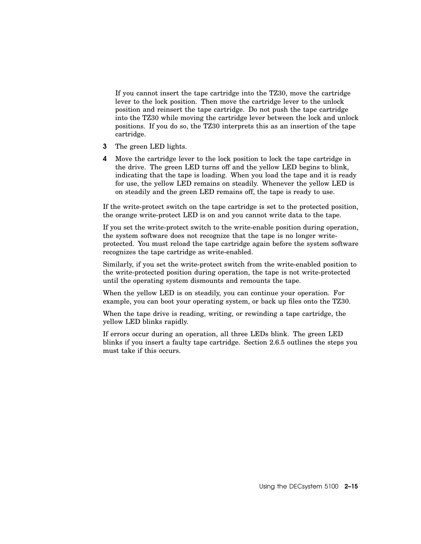If you cannot insert the tape cartridge into the TZ30, move the cartridge lever to the lock position. Then move the cartridge lever to the unlock position and reinsert the tape cartridge. Do not push the tape cartridge into the TZ30 while moving the cartridge lever between the lock and unlock positions. If you do so, the TZ30 interprets this as an insertion of the tape cartridge.

- 3 The green LED lights.
- 4 Move the cartridge lever to the lock position to lock the tape cartridge in the drive. The green LED turns off and the yellow LED begins to blink, indicating that the tape is loading. When you load the tape and it is ready for use, the yellow LED remains on steadily. Whenever the yellow LED is on steadily and the green LED remains off, the tape is ready to use.

If the write-protect switch on the tape cartridge is set to the protected position, the orange write-protect LED is on and you cannot write data to the tape.

If you set the write-protect switch to the write-enable position during operation, the system software does not recognize that the tape is no longer writeprotected. You must reload the tape cartridge again before the system software recognizes the tape cartridge as write-enabled.

Similarly, if you set the write-protect switch from the write-enabled position to the write-protected position during operation, the tape is not write-protected until the operating system dismounts and remounts the tape.

When the yellow LED is on steadily, you can continue your operation. For example, you can boot your operating system, or back up files onto the TZ30.

When the tape drive is reading, writing, or rewinding a tape cartridge, the yellow LED blinks rapidly.

If errors occur during an operation, all three LEDs blink. The green LED blinks if you insert a faulty tape cartridge. Section 2.6.5 outlines the steps you must take if this occurs.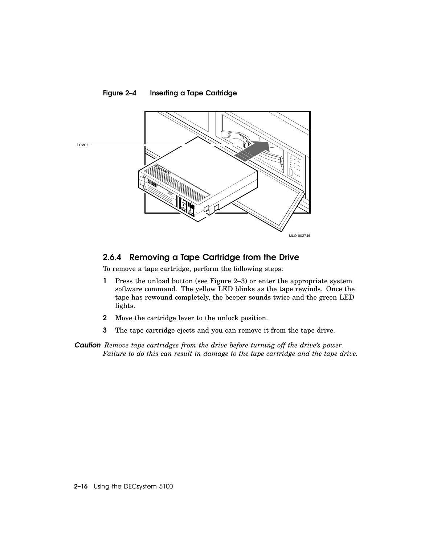

## 2.6.4 Removing a Tape Cartridge from the Drive

To remove a tape cartridge, perform the following steps:

- 1 Press the unload button (see Figure 2–3) or enter the appropriate system software command. The yellow LED blinks as the tape rewinds. Once the tape has rewound completely, the beeper sounds twice and the green LED lights.
- 2 Move the cartridge lever to the unlock position.
- 3 The tape cartridge ejects and you can remove it from the tape drive.

*Caution Remove tape cartridges from the drive before turning off the drive's power. Failure to do this can result in damage to the tape cartridge and the tape drive.*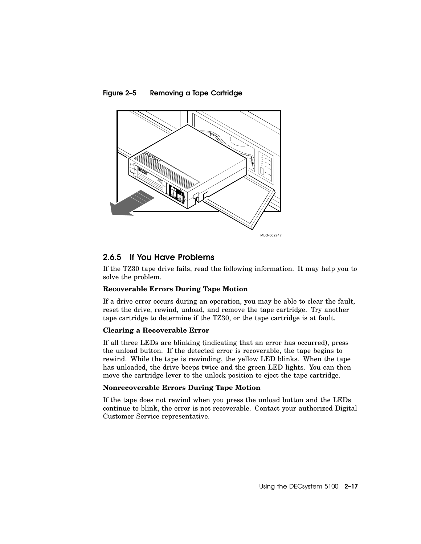



#### 2.6.5 If You Have Problems

If the TZ30 tape drive fails, read the following information. It may help you to solve the problem.

#### **Recoverable Errors During Tape Motion**

If a drive error occurs during an operation, you may be able to clear the fault, reset the drive, rewind, unload, and remove the tape cartridge. Try another tape cartridge to determine if the TZ30, or the tape cartridge is at fault.

#### **Clearing a Recoverable Error**

If all three LEDs are blinking (indicating that an error has occurred), press the unload button. If the detected error is recoverable, the tape begins to rewind. While the tape is rewinding, the yellow LED blinks. When the tape has unloaded, the drive beeps twice and the green LED lights. You can then move the cartridge lever to the unlock position to eject the tape cartridge.

#### **Nonrecoverable Errors During Tape Motion**

If the tape does not rewind when you press the unload button and the LEDs continue to blink, the error is not recoverable. Contact your authorized Digital Customer Service representative.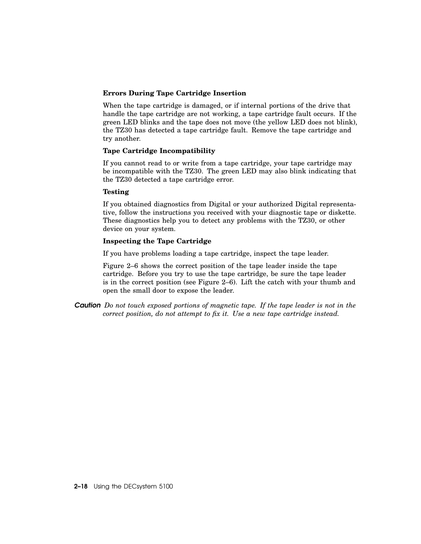#### **Errors During Tape Cartridge Insertion**

When the tape cartridge is damaged, or if internal portions of the drive that handle the tape cartridge are not working, a tape cartridge fault occurs. If the green LED blinks and the tape does not move (the yellow LED does not blink), the TZ30 has detected a tape cartridge fault. Remove the tape cartridge and try another.

#### **Tape Cartridge Incompatibility**

If you cannot read to or write from a tape cartridge, your tape cartridge may be incompatible with the TZ30. The green LED may also blink indicating that the TZ30 detected a tape cartridge error.

#### **Testing**

If you obtained diagnostics from Digital or your authorized Digital representative, follow the instructions you received with your diagnostic tape or diskette. These diagnostics help you to detect any problems with the TZ30, or other device on your system.

#### **Inspecting the Tape Cartridge**

If you have problems loading a tape cartridge, inspect the tape leader.

Figure 2–6 shows the correct position of the tape leader inside the tape cartridge. Before you try to use the tape cartridge, be sure the tape leader is in the correct position (see Figure 2–6). Lift the catch with your thumb and open the small door to expose the leader.

*Caution Do not touch exposed portions of magnetic tape. If the tape leader is not in the correct position, do not attempt to fix it. Use a new tape cartridge instead.*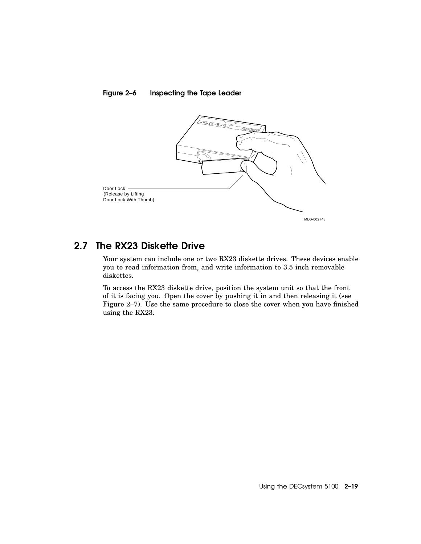



## 2.7 The RX23 Diskette Drive

Your system can include one or two RX23 diskette drives. These devices enable you to read information from, and write information to 3.5 inch removable diskettes.

To access the RX23 diskette drive, position the system unit so that the front of it is facing you. Open the cover by pushing it in and then releasing it (see Figure 2–7). Use the same procedure to close the cover when you have finished using the RX23.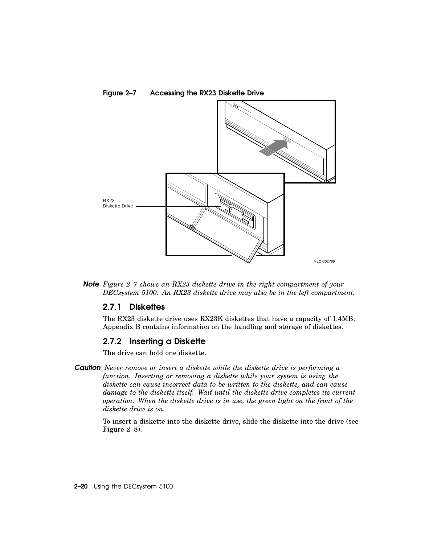

Figure 2–7 Accessing the RX23 Diskette Drive

*Note Figure 2–7 shows an RX23 diskette drive in the right compartment of your DECsystem 5100. An RX23 diskette drive may also be in the left compartment.*

#### 2.7.1 Diskettes

The RX23 diskette drive uses RX23K diskettes that have a capacity of 1.4MB. Appendix B contains information on the handling and storage of diskettes.

#### 2.7.2 Inserting a Diskette

The drive can hold one diskette.

*Caution Never remove or insert a diskette while the diskette drive is performing a function. Inserting or removing a diskette while your system is using the diskette can cause incorrect data to be written to the diskette, and can cause damage to the diskette itself. Wait until the diskette drive completes its current operation. When the diskette drive is in use, the green light on the front of the diskette drive is on.*

To insert a diskette into the diskette drive, slide the diskette into the drive (see Figure 2–8).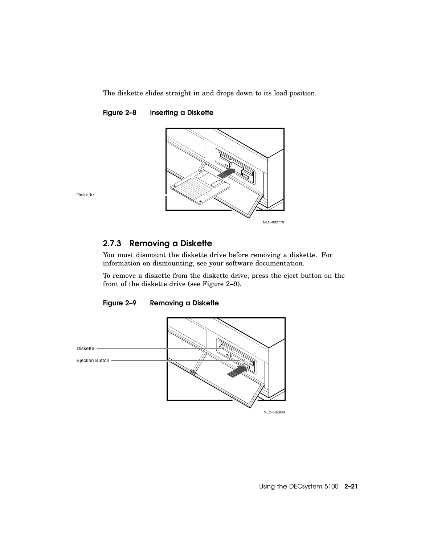The diskette slides straight in and drops down to its load position.

#### Figure 2–8 Inserting a Diskette



#### 2.7.3 Removing a Diskette

You must dismount the diskette drive before removing a diskette. For information on dismounting, see your software documentation.

To remove a diskette from the diskette drive, press the eject button on the front of the diskette drive (see Figure 2–9).



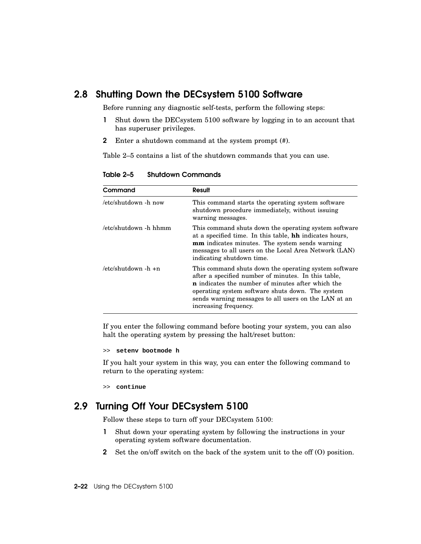## 2.8 Shutting Down the DECsystem 5100 Software

Before running any diagnostic self-tests, perform the following steps:

- 1 Shut down the DECsystem 5100 software by logging in to an account that has superuser privileges.
- 2 Enter a shutdown command at the system prompt (#).

Table 2–5 contains a list of the shutdown commands that you can use.

| Command               | Result                                                                                                                                                                                                                                                                                                        |
|-----------------------|---------------------------------------------------------------------------------------------------------------------------------------------------------------------------------------------------------------------------------------------------------------------------------------------------------------|
| /etc/shutdown -h now  | This command starts the operating system software<br>shutdown procedure immediately, without issuing<br>warning messages.                                                                                                                                                                                     |
| /etc/shutdown -h hhmm | This command shuts down the operating system software<br>at a specified time. In this table, <b>hh</b> indicates hours,<br><b>mm</b> indicates minutes. The system sends warning<br>messages to all users on the Local Area Network (LAN)<br>indicating shutdown time.                                        |
| /etc/shutdown -h +n   | This command shuts down the operating system software<br>after a specified number of minutes. In this table,<br><b>n</b> indicates the number of minutes after which the<br>operating system software shuts down. The system<br>sends warning messages to all users on the LAN at an<br>increasing frequency. |

Table 2–5 Shutdown Commands

If you enter the following command before booting your system, you can also halt the operating system by pressing the halt/reset button:

```
>> setenv bootmode h
```
If you halt your system in this way, you can enter the following command to return to the operating system:

>> **continue**

# 2.9 Turning Off Your DECsystem 5100

Follow these steps to turn off your DECsystem 5100:

- 1 Shut down your operating system by following the instructions in your operating system software documentation.
- 2 Set the on/off switch on the back of the system unit to the off (O) position.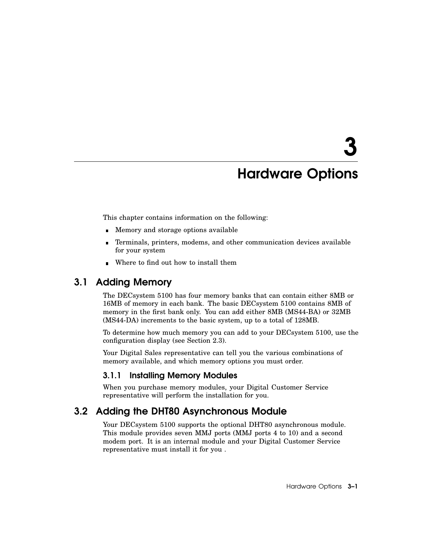# Hardware Options

This chapter contains information on the following:

- **Memory and storage options available**
- Terminals, printers, modems, and other communication devices available for your system
- Where to find out how to install them  $\blacksquare$

# 3.1 Adding Memory

The DECsystem 5100 has four memory banks that can contain either 8MB or 16MB of memory in each bank. The basic DECsystem 5100 contains 8MB of memory in the first bank only. You can add either 8MB (MS44-BA) or 32MB (MS44-DA) increments to the basic system, up to a total of 128MB.

To determine how much memory you can add to your DECsystem 5100, use the configuration display (see Section 2.3).

Your Digital Sales representative can tell you the various combinations of memory available, and which memory options you must order.

#### 3.1.1 Installing Memory Modules

When you purchase memory modules, your Digital Customer Service representative will perform the installation for you.

## 3.2 Adding the DHT80 Asynchronous Module

Your DECsystem 5100 supports the optional DHT80 asynchronous module. This module provides seven MMJ ports (MMJ ports 4 to 10) and a second modem port. It is an internal module and your Digital Customer Service representative must install it for you .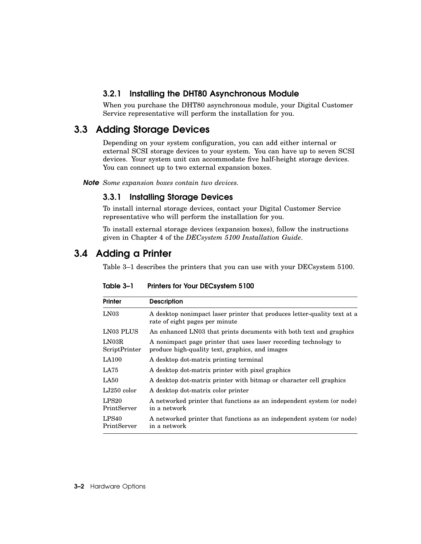#### 3.2.1 Installing the DHT80 Asynchronous Module

When you purchase the DHT80 asynchronous module, your Digital Customer Service representative will perform the installation for you.

# 3.3 Adding Storage Devices

Depending on your system configuration, you can add either internal or external SCSI storage devices to your system. You can have up to seven SCSI devices. Your system unit can accommodate five half-height storage devices. You can connect up to two external expansion boxes.

*Note Some expansion boxes contain two devices.*

#### 3.3.1 Installing Storage Devices

To install internal storage devices, contact your Digital Customer Service representative who will perform the installation for you.

To install external storage devices (expansion boxes), follow the instructions given in Chapter 4 of the *DECsystem 5100 Installation Guide*.

## 3.4 Adding a Printer

Table 3–1 describes the printers that you can use with your DECsystem 5100.

| <b>Printer</b>                   | <b>Description</b>                                                                                                  |
|----------------------------------|---------------------------------------------------------------------------------------------------------------------|
| LN <sub>03</sub>                 | A desktop nonimpact laser printer that produces letter-quality text at a<br>rate of eight pages per minute          |
| LN03 PLUS                        | An enhanced LN03 that prints documents with both text and graphics                                                  |
| LN03R<br>ScriptPrinter           | A nonimpact page printer that uses laser recording technology to<br>produce high-quality text, graphics, and images |
| <b>LA100</b>                     | A desktop dot-matrix printing terminal                                                                              |
| LA75                             | A desktop dot-matrix printer with pixel graphics                                                                    |
| LA50                             | A desktop dot-matrix printer with bitmap or character cell graphics                                                 |
| $LJ250$ color                    | A desktop dot-matrix color printer                                                                                  |
| LPS20<br>PrintServer             | A networked printer that functions as an independent system (or node)<br>in a network                               |
| LPS <sub>40</sub><br>PrintServer | A networked printer that functions as an independent system (or node)<br>in a network                               |

Table 3–1 Printers for Your DECsystem 5100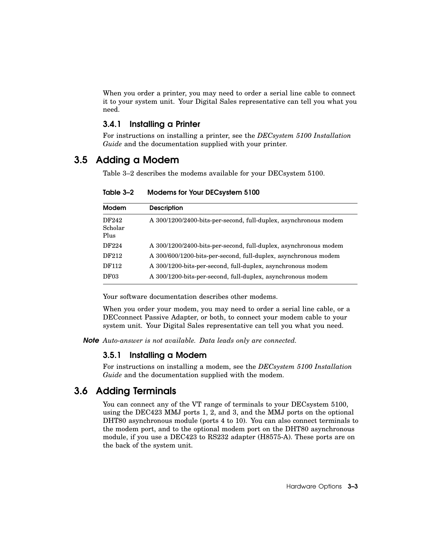When you order a printer, you may need to order a serial line cable to connect it to your system unit. Your Digital Sales representative can tell you what you need.

### 3.4.1 Installing a Printer

For instructions on installing a printer, see the *DECsystem 5100 Installation Guide* and the documentation supplied with your printer.

## 3.5 Adding a Modem

Table 3–2 describes the modems available for your DECsystem 5100.

| <b>Modem</b>             | <b>Description</b>                                               |
|--------------------------|------------------------------------------------------------------|
| DF242<br>Scholar<br>Plus | A 300/1200/2400-bits-per-second, full-duplex, asynchronous modem |
| DF224                    | A 300/1200/2400-bits-per-second, full-duplex, asynchronous modem |
| DF212                    | A 300/600/1200-bits-per-second, full-duplex, asynchronous modem  |
| DF112                    | A 300/1200-bits-per-second, full-duplex, asynchronous modem      |
| DF03                     | A 300/1200-bits-per-second, full-duplex, asynchronous modem      |

Table 3–2 Modems for Your DECsystem 5100

Your software documentation describes other modems.

When you order your modem, you may need to order a serial line cable, or a DECconnect Passive Adapter, or both, to connect your modem cable to your system unit. Your Digital Sales representative can tell you what you need.

*Note Auto-answer is not available. Data leads only are connected.*

### 3.5.1 Installing a Modem

For instructions on installing a modem, see the *DECsystem 5100 Installation Guide* and the documentation supplied with the modem.

## 3.6 Adding Terminals

You can connect any of the VT range of terminals to your DECsystem 5100, using the DEC423 MMJ ports 1, 2, and 3, and the MMJ ports on the optional DHT80 asynchronous module (ports 4 to 10). You can also connect terminals to the modem port, and to the optional modem port on the DHT80 asynchronous module, if you use a DEC423 to RS232 adapter (H8575-A). These ports are on the back of the system unit.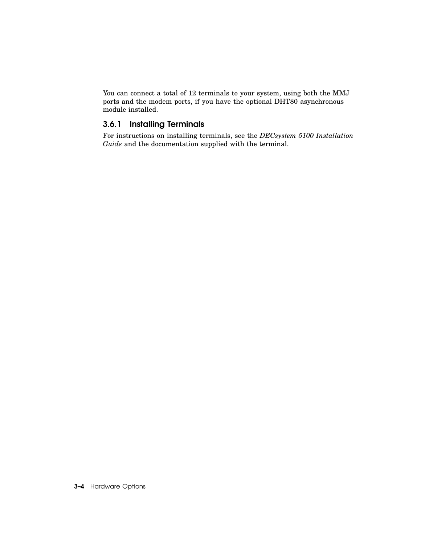You can connect a total of 12 terminals to your system, using both the MMJ ports and the modem ports, if you have the optional DHT80 asynchronous module installed.

## 3.6.1 Installing Terminals

For instructions on installing terminals, see the *DECsystem 5100 Installation Guide* and the documentation supplied with the terminal.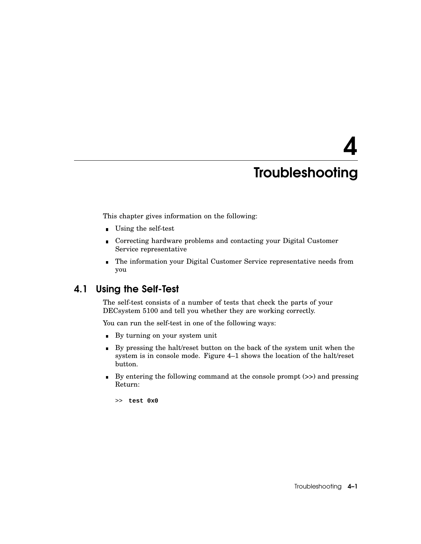# 4

# **Troubleshooting**

This chapter gives information on the following:

- Using the self-test
- Correcting hardware problems and contacting your Digital Customer  $\blacksquare$ Service representative
- The information your Digital Customer Service representative needs from  $\blacksquare$ you

## 4.1 Using the Self-Test

The self-test consists of a number of tests that check the parts of your DECsystem 5100 and tell you whether they are working correctly.

You can run the self-test in one of the following ways:

- By turning on your system unit
- By pressing the halt/reset button on the back of the system unit when the  $\blacksquare$ system is in console mode. Figure 4–1 shows the location of the halt/reset button.
- By entering the following command at the console prompt (>>) and pressing Return:

>> **test 0x0**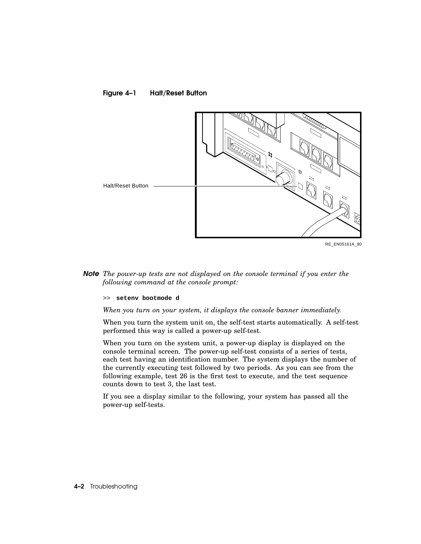



*Note The power-up tests are not displayed on the console terminal if you enter the following command at the console prompt:*

>> **setenv bootmode d**

*When you turn on your system, it displays the console banner immediately.*

When you turn the system unit on, the self-test starts automatically. A self-test performed this way is called a power-up self-test.

When you turn on the system unit, a power-up display is displayed on the console terminal screen. The power-up self-test consists of a series of tests, each test having an identification number. The system displays the number of the currently executing test followed by two periods. As you can see from the following example, test 26 is the first test to execute, and the test sequence counts down to test 3, the last test.

If you see a display similar to the following, your system has passed all the power-up self-tests.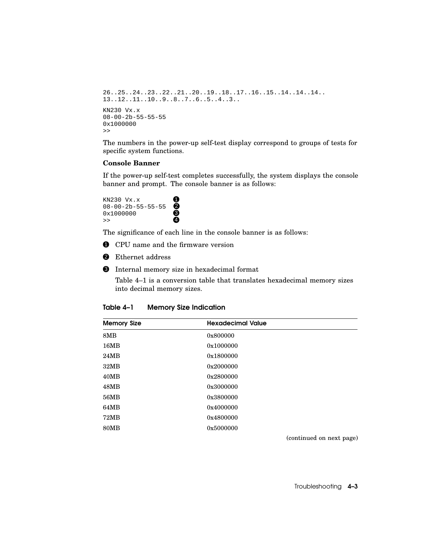```
26..25..24..23..22..21..20..19..18..17..16..15..14..14..14..
13..12..11..10..9..8..7..6..5..4..3..
KN230 Vx.x
08-00-2b-55-55-55
0x1000000
>>
```
The numbers in the power-up self-test display correspond to groups of tests for specific system functions.

#### **Console Banner**

If the power-up self-test completes successfully, the system displays the console banner and prompt. The console banner is as follows:

KN230  $Vx.x$  $08-00-2b-55-55-55$  $0 \times 1000000$   $\bullet$  $\rightarrow$  4

The significance of each line in the console banner is as follows:

**1** CPU name and the firmware version

- <sup>2</sup> Ethernet address
- $\bullet$  Internal memory size in hexadecimal format

Table 4–1 is a conversion table that translates hexadecimal memory sizes into decimal memory sizes.

| <b>Memory Size Indication</b><br>Table 4–1 |  |
|--------------------------------------------|--|
|--------------------------------------------|--|

| <b>Memory Size</b> | <b>Hexadecimal Value</b> |
|--------------------|--------------------------|
| 8MB                | 0x800000                 |
| 16MB               | 0x1000000                |
| 24MB               | 0x1800000                |
| 32MB               | 0x2000000                |
| 40MB               | 0x2800000                |
| 48MB               | 0x3000000                |
| 56MB               | 0x3800000                |
| 64MB               | 0x4000000                |
| <b>72MB</b>        | 0x4800000                |
| <b>80MB</b>        | 0x5000000                |

(continued on next page)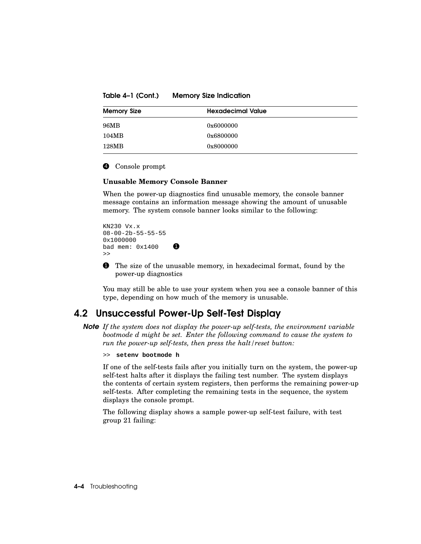Table 4–1 (Cont.) Memory Size Indication

| <b>Memory Size</b> | <b>Hexadecimal Value</b> |
|--------------------|--------------------------|
| 96MB               | 0x6000000                |
| 104MB              | 0x6800000                |
| 128MB              | 0x8000000                |

#### 4 Console prompt

#### **Unusable Memory Console Banner**

When the power-up diagnostics find unusable memory, the console banner message contains an information message showing the amount of unusable memory. The system console banner looks similar to the following:

```
KN230 Vx.x
08-00-2b-55-55-55
0x1000000
bad mem: 0 \times 1400>>
```
**1** The size of the unusable memory, in hexadecimal format, found by the power-up diagnostics

You may still be able to use your system when you see a console banner of this type, depending on how much of the memory is unusable.

## 4.2 Unsuccessful Power-Up Self-Test Display

*Note If the system does not display the power-up self-tests, the environment variable bootmode d might be set. Enter the following command to cause the system to run the power-up self-tests, then press the halt/reset button:*

>> **setenv bootmode h**

If one of the self-tests fails after you initially turn on the system, the power-up self-test halts after it displays the failing test number. The system displays the contents of certain system registers, then performs the remaining power-up self-tests. After completing the remaining tests in the sequence, the system displays the console prompt.

The following display shows a sample power-up self-test failure, with test group 21 failing: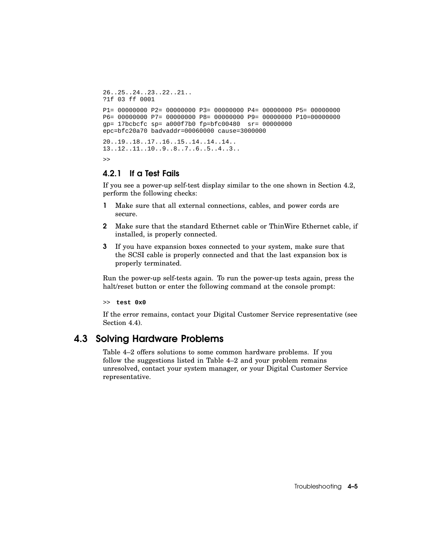```
26..25..24..23..22..21..
?1f 03 ff 0001
P1= 00000000 P2= 00000000 P3= 00000000 P4= 00000000 P5= 00000000
P6= 00000000 P7= 00000000 P8= 00000000 P9= 00000000 P10=00000000
gp= 17bcbcfc sp= a000f7b0 fp=bfc00480 sr= 00000000
epc=bfc20a70 badvaddr=00060000 cause=3000000
20..19..18..17..16..15..14..14..14..
13..12..11..10..9..8..7..6..5..4..3..
>>
```
#### 4.2.1 If a Test Fails

If you see a power-up self-test display similar to the one shown in Section 4.2, perform the following checks:

- 1 Make sure that all external connections, cables, and power cords are secure.
- 2 Make sure that the standard Ethernet cable or ThinWire Ethernet cable, if installed, is properly connected.
- 3 If you have expansion boxes connected to your system, make sure that the SCSI cable is properly connected and that the last expansion box is properly terminated.

Run the power-up self-tests again. To run the power-up tests again, press the halt/reset button or enter the following command at the console prompt:

>> **test 0x0**

If the error remains, contact your Digital Customer Service representative (see Section 4.4).

## 4.3 Solving Hardware Problems

Table 4–2 offers solutions to some common hardware problems. If you follow the suggestions listed in Table 4–2 and your problem remains unresolved, contact your system manager, or your Digital Customer Service representative.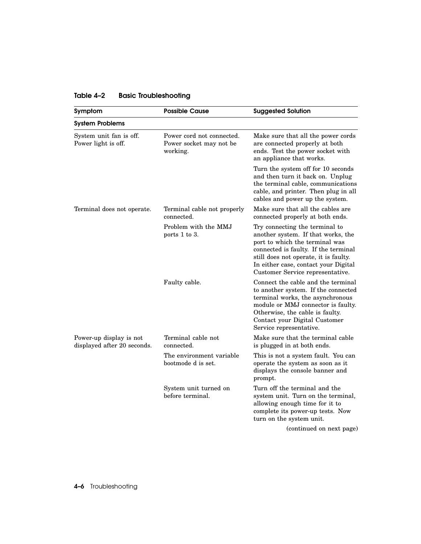| Symptom                                                | <b>Possible Cause</b>                                            | <b>Suggested Solution</b>                                                                                                                                                                                                                                           |
|--------------------------------------------------------|------------------------------------------------------------------|---------------------------------------------------------------------------------------------------------------------------------------------------------------------------------------------------------------------------------------------------------------------|
| <b>System Problems</b>                                 |                                                                  |                                                                                                                                                                                                                                                                     |
| System unit fan is off.<br>Power light is off.         | Power cord not connected.<br>Power socket may not be<br>working. | Make sure that all the power cords<br>are connected properly at both<br>ends. Test the power socket with<br>an appliance that works.                                                                                                                                |
|                                                        |                                                                  | Turn the system off for 10 seconds<br>and then turn it back on. Unplug<br>the terminal cable, communications<br>cable, and printer. Then plug in all<br>cables and power up the system.                                                                             |
| Terminal does not operate.                             | Terminal cable not properly<br>connected.                        | Make sure that all the cables are<br>connected properly at both ends.                                                                                                                                                                                               |
|                                                        | Problem with the MMJ<br>ports 1 to 3.                            | Try connecting the terminal to<br>another system. If that works, the<br>port to which the terminal was<br>connected is faulty. If the terminal<br>still does not operate, it is faulty.<br>In either case, contact your Digital<br>Customer Service representative. |
|                                                        | Faulty cable.                                                    | Connect the cable and the terminal<br>to another system. If the connected<br>terminal works, the asynchronous<br>module or MMJ connector is faulty.<br>Otherwise, the cable is faulty.<br>Contact your Digital Customer<br>Service representative.                  |
| Power-up display is not<br>displayed after 20 seconds. | Terminal cable not<br>connected.                                 | Make sure that the terminal cable<br>is plugged in at both ends.                                                                                                                                                                                                    |
|                                                        | The environment variable<br>bootmode d is set.                   | This is not a system fault. You can<br>operate the system as soon as it<br>displays the console banner and<br>prompt.                                                                                                                                               |
|                                                        | System unit turned on<br>before terminal.                        | Turn off the terminal and the<br>system unit. Turn on the terminal,<br>allowing enough time for it to<br>complete its power-up tests. Now<br>turn on the system unit.                                                                                               |
|                                                        |                                                                  | (continued on next page)                                                                                                                                                                                                                                            |

## Table 4–2 Basic Troubleshooting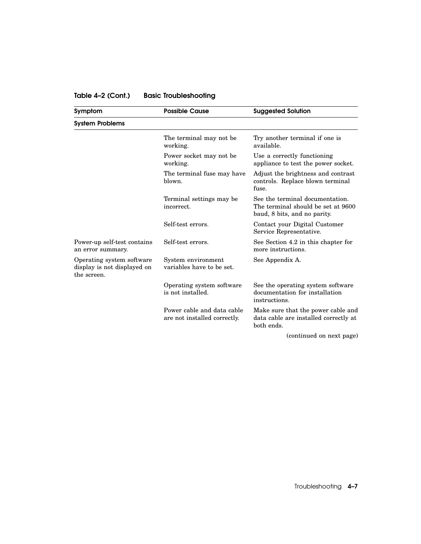## Table 4–2 (Cont.) Basic Troubleshooting

| Symptom                                                                 | <b>Possible Cause</b>                                      | <b>Suggested Solution</b>                                                                             |  |  |
|-------------------------------------------------------------------------|------------------------------------------------------------|-------------------------------------------------------------------------------------------------------|--|--|
| <b>System Problems</b>                                                  |                                                            |                                                                                                       |  |  |
|                                                                         | The terminal may not be.<br>working.                       | Try another terminal if one is<br>available.                                                          |  |  |
|                                                                         | Power socket may not be<br>working.                        | Use a correctly functioning<br>appliance to test the power socket.                                    |  |  |
|                                                                         | The terminal fuse may have<br>blown.                       | Adjust the brightness and contrast<br>controls. Replace blown terminal<br>fuse.                       |  |  |
|                                                                         | Terminal settings may be<br>incorrect.                     | See the terminal documentation.<br>The terminal should be set at 9600<br>baud, 8 bits, and no parity. |  |  |
|                                                                         | Self-test errors.                                          | Contact your Digital Customer<br>Service Representative.                                              |  |  |
| Power-up self-test contains<br>an error summary.                        | Self-test errors.                                          | See Section 4.2 in this chapter for<br>more instructions.                                             |  |  |
| Operating system software<br>display is not displayed on<br>the screen. | System environment<br>variables have to be set.            | See Appendix A.                                                                                       |  |  |
|                                                                         | Operating system software<br>is not installed.             | See the operating system software<br>documentation for installation<br>instructions.                  |  |  |
|                                                                         | Power cable and data cable<br>are not installed correctly. | Make sure that the power cable and<br>data cable are installed correctly at<br>both ends.             |  |  |
|                                                                         |                                                            | (continued on next page)                                                                              |  |  |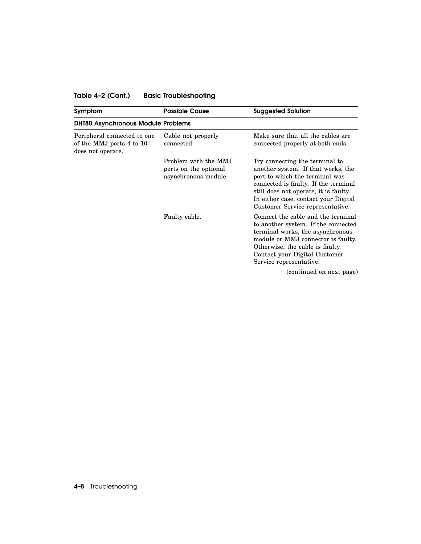## Table 4–2 (Cont.) Basic Troubleshooting

| Symptom                                                                      | <b>Possible Cause</b>                                                 | <b>Suggested Solution</b>                                                                                                                                                                                                                                           |
|------------------------------------------------------------------------------|-----------------------------------------------------------------------|---------------------------------------------------------------------------------------------------------------------------------------------------------------------------------------------------------------------------------------------------------------------|
| <b>DHT80 Asynchronous Module Problems</b>                                    |                                                                       |                                                                                                                                                                                                                                                                     |
| Peripheral connected to one<br>of the MMJ ports 4 to 10<br>does not operate. | Cable not properly<br>connected.                                      | Make sure that all the cables are<br>connected properly at both ends.                                                                                                                                                                                               |
|                                                                              | Problem with the MMJ<br>ports on the optional<br>asynchronous module. | Try connecting the terminal to<br>another system. If that works, the<br>port to which the terminal was<br>connected is faulty. If the terminal<br>still does not operate, it is faulty.<br>In either case, contact your Digital<br>Customer Service representative. |
|                                                                              | Faulty cable.                                                         | Connect the cable and the terminal<br>to another system. If the connected<br>terminal works, the asynchronous<br>module or MMJ connector is faulty.<br>Otherwise, the cable is faulty.<br>Contact your Digital Customer<br>Service representative.                  |
|                                                                              |                                                                       | (continued on next page)                                                                                                                                                                                                                                            |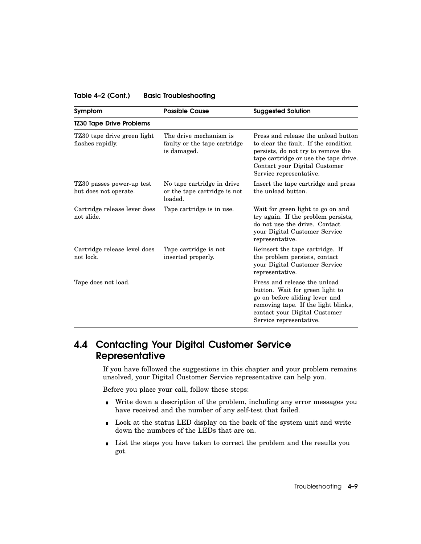#### Table 4–2 (Cont.) Basic Troubleshooting

| Symptom                                            | <b>Possible Cause</b>                                                 | <b>Suggested Solution</b>                                                                                                                                                                                              |
|----------------------------------------------------|-----------------------------------------------------------------------|------------------------------------------------------------------------------------------------------------------------------------------------------------------------------------------------------------------------|
| <b>TZ30 Tape Drive Problems</b>                    |                                                                       |                                                                                                                                                                                                                        |
| TZ30 tape drive green light<br>flashes rapidly.    | The drive mechanism is<br>faulty or the tape cartridge<br>is damaged. | Press and release the unload button<br>to clear the fault. If the condition<br>persists, do not try to remove the<br>tape cartridge or use the tape drive.<br>Contact your Digital Customer<br>Service representative. |
| TZ30 passes power-up test<br>but does not operate. | No tape cartridge in drive<br>or the tape cartridge is not<br>loaded. | Insert the tape cartridge and press<br>the unload button.                                                                                                                                                              |
| Cartridge release lever does<br>not slide.         | Tape cartridge is in use.                                             | Wait for green light to go on and<br>try again. If the problem persists,<br>do not use the drive. Contact<br>your Digital Customer Service<br>representative.                                                          |
| Cartridge release level does<br>not lock.          | Tape cartridge is not<br>inserted properly.                           | Reinsert the tape cartridge. If<br>the problem persists, contact<br>your Digital Customer Service<br>representative.                                                                                                   |
| Tape does not load.                                |                                                                       | Press and release the unload<br>button. Wait for green light to<br>go on before sliding lever and<br>removing tape. If the light blinks,<br>contact your Digital Customer<br>Service representative.                   |

## 4.4 Contacting Your Digital Customer Service **Representative**

If you have followed the suggestions in this chapter and your problem remains unsolved, your Digital Customer Service representative can help you.

Before you place your call, follow these steps:

- Write down a description of the problem, including any error messages you have received and the number of any self-test that failed.
- Look at the status LED display on the back of the system unit and write down the numbers of the LEDs that are on.
- **List the steps you have taken to correct the problem and the results you** got.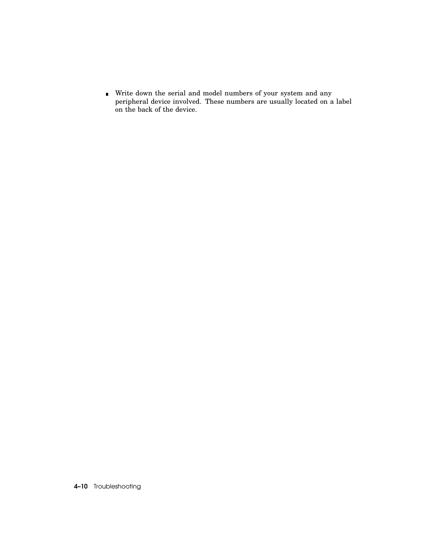Write down the serial and model numbers of your system and any peripheral device involved. These numbers are usually located on a label on the back of the device.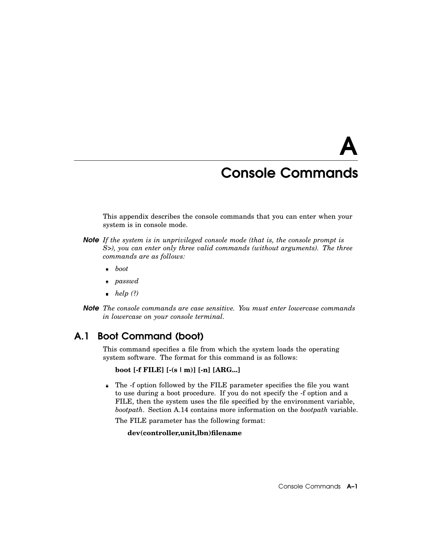# A

## Console Commands

This appendix describes the console commands that you can enter when your system is in console mode.

- *Note If the system is in unprivileged console mode (that is, the console prompt is S>), you can enter only three valid commands (without arguments). The three commands are as follows:*
	- *boot*  $\blacksquare$
	- *passwd*
	- *help* (?)
- *Note The console commands are case sensitive. You must enter lowercase commands in lowercase on your console terminal.*

## A.1 Boot Command (boot)

This command specifies a file from which the system loads the operating system software. The format for this command is as follows:

```
boot [-f FILE] [-(s | m)] [-n] [ARG...]
```
The -f option followed by the FILE parameter specifies the file you want  $\blacksquare$ to use during a boot procedure. If you do not specify the -f option and a FILE, then the system uses the file specified by the environment variable, *bootpath*. Section A.14 contains more information on the *bootpath* variable.

The FILE parameter has the following format:

#### **dev(controller,unit,lbn)filename**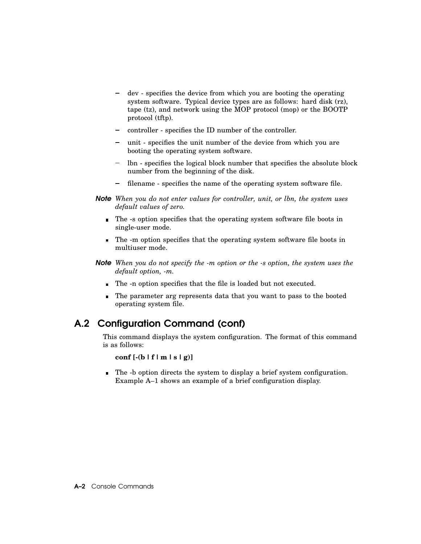- dev specifies the device from which you are booting the operating system software. Typical device types are as follows: hard disk (rz), tape (tz), and network using the MOP protocol (mop) or the BOOTP protocol (tftp).
- controller specifies the ID number of the controller.
- unit specifies the unit number of the device from which you are booting the operating system software.
- lbn specifies the logical block number that specifies the absolute block number from the beginning of the disk.
- filename specifies the name of the operating system software file.  $\blacksquare$
- *Note When you do not enter values for controller, unit, or lbn, the system uses default values of zero.*
	- The -s option specifies that the operating system software file boots in single-user mode.
	- The -m option specifies that the operating system software file boots in  $\blacksquare$ multiuser mode.
- *Note When you do not specify the -m option or the -s option, the system uses the default option, -m.*
	- The -n option specifies that the file is loaded but not executed.
	- The parameter arg represents data that you want to pass to the booted operating system file.

## A.2 Configuration Command (conf)

This command displays the system configuration. The format of this command is as follows:

#### **conf [-(b | f | m | s | g)]**

The -b option directs the system to display a brief system configuration.  $\blacksquare$ Example A–1 shows an example of a brief configuration display.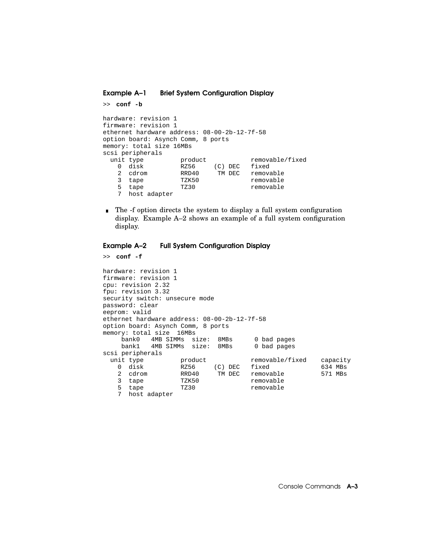Example A–1 Brief System Configuration Display

```
>> conf -b
hardware: revision 1
firmware: revision 1
ethernet hardware address: 08-00-2b-12-7f-58
option board: Asynch Comm, 8 ports
memory: total size 16MBs
scsi peripherals
 unit type product removable/fixed<br>0 disk RZ56 (C) DEC fixed
   0 disk RZ56 (C) DEC fixed
   2 cdrom RRD40 TM DEC removable
   3 tape TZK50 removable
   3 tape TZK50 removable<br>5 tape TZ30 removable
   7 host adapter
```
 $\blacksquare$ The -f option directs the system to display a full system configuration display. Example A–2 shows an example of a full system configuration display.

#### Example A–2 Full System Configuration Display

```
>> conf -f
hardware: revision 1
firmware: revision 1
cpu: revision 2.32
fpu: revision 3.32
security switch: unsecure mode
password: clear
eeprom: valid
ethernet hardware address: 08-00-2b-12-7f-58
option board: Asynch Comm, 8 ports
memory: total size 16MBs
    bank0 4MB SIMMs size: 8MBs 0 bad pages
    bank1 4MB SIMMs size: 8MBs 0 bad pages
scsi peripherals
 unit type by product the movable/fixed capacity<br>
0 disk RZ56 (C) DEC fixed 634 MBs
   0 disk RZ56 (C) DEC fixed 634 MBs
   2 cdrom RRD40 TM DEC removable 571 MBs
   3 tape TZK50 removable
   5 tape TZ30 removable
   7 host adapter
```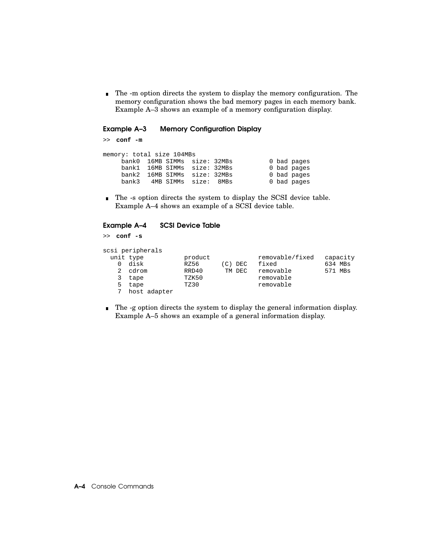The -m option directs the system to display the memory configuration. The  $\blacksquare$ memory configuration shows the bad memory pages in each memory bank. Example A–3 shows an example of a memory configuration display.

#### Example A–3 Memory Configuration Display

>> **conf -m**

| hank 3 |  |                           |                                                                                                                      |                                                          |
|--------|--|---------------------------|----------------------------------------------------------------------------------------------------------------------|----------------------------------------------------------|
|        |  | memory: total size 104MBs | bank0 16MB SIMMs size: 32MBs<br>bank1 16MB SIMMs size: 32MBs<br>bank2 16MB SIMMs size: 32MBs<br>4MB SIMMs size: 8MBs | 0 bad pages<br>0 bad pages<br>0 bad pages<br>0 bad pages |

The -s option directs the system to display the SCSI device table. Example A–4 shows an example of a SCSI device table.

#### Example A–4 SCSI Device Table

>> **conf -s**

|   | scsi peripherals |         |         |                 |          |
|---|------------------|---------|---------|-----------------|----------|
|   | unit type        | product |         | removable/fixed | capacity |
|   | disk             | RZ56    | (C) DEC | fixed           | 634 MBs  |
|   | cdrom            | RRD40   | TM DEC  | removable       | 571 MBs  |
|   | tape             | TZK50   |         | removable       |          |
| 5 | tape             | TZ30    |         | removable       |          |
|   | host adapter     |         |         |                 |          |

The -g option directs the system to display the general information display. Example A–5 shows an example of a general information display.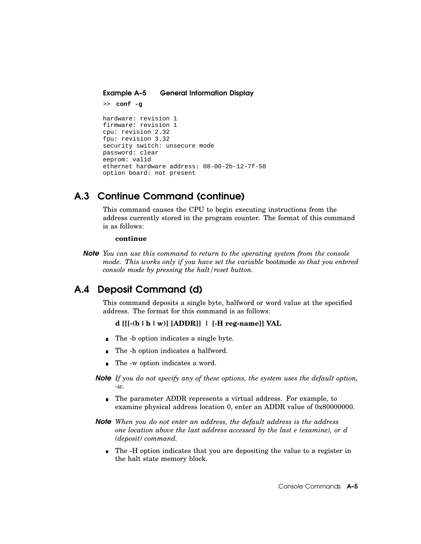Example A–5 General Information Display

```
>> conf -g
hardware: revision 1
firmware: revision 1
cpu: revision 2.32
fpu: revision 3.32
security switch: unsecure mode
password: clear
eeprom: valid
ethernet hardware address: 08-00-2b-12-7f-58
option board: not present
```
## A.3 Continue Command (continue)

This command causes the CPU to begin executing instructions from the address currently stored in the program counter. The format of this command is as follows:

#### **continue**

*Note You can use this command to return to the operating system from the console mode. This works only if you have set the variable* bootmode *so that you entered console mode by pressing the halt/reset button.*

## A.4 Deposit Command (d)

This command deposits a single byte, halfword or word value at the specified address. The format for this command is as follows:

#### **d [[[-(b |h| w)] [ADDR]] | [-H reg-name]] VAL**

- The -b option indicates a single byte.
- The -h option indicates a halfword.
- The -w option indicates a word.  $\blacksquare$
- *Note If you do not specify any of these options, the system uses the default option, -w.*
	- The parameter ADDR represents a virtual address. For example, to examine physical address location 0, enter an ADDR value of 0x80000000.
- *Note When you do not enter an address, the default address is the address one location above the last address accessed by the last e (examine), or d (deposit) command.*
	- The -H option indicates that you are depositing the value to a register in the halt state memory block.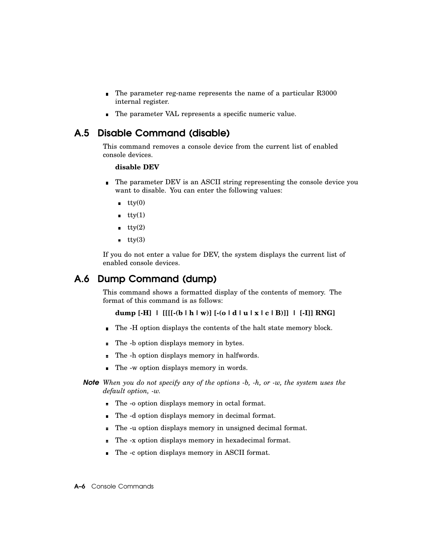- The parameter reg-name represents the name of a particular R3000  $\blacksquare$ internal register.
- The parameter VAL represents a specific numeric value.

## A.5 Disable Command (disable)

This command removes a console device from the current list of enabled console devices.

#### **disable DEV**

- The parameter DEV is an ASCII string representing the console device you  $\blacksquare$ want to disable. You can enter the following values:
	- $\bullet$  tty(0)
	- $\bullet$  tty(1)
	- $\overline{\text{tty}(2)}$
	- $\overline{\text{tty}(3)}$

If you do not enter a value for DEV, the system displays the current list of enabled console devices.

## A.6 Dump Command (dump)

This command shows a formatted display of the contents of memory. The format of this command is as follows:

```
dump [-H] | [[[[-(b |h| w)] [-(o |d|u| x | c | B)]] | [-I]] RNG]
```
- The -H option displays the contents of the halt state memory block.  $\blacksquare$
- The -b option displays memory in bytes.  $\blacksquare$
- The -h option displays memory in halfwords.  $\blacksquare$
- The -w option displays memory in words.  $\blacksquare$
- *Note When you do not specify any of the options -b, -h, or -w, the system uses the default option, -w.*
	- The -o option displays memory in octal format.
	- The -d option displays memory in decimal format.  $\blacksquare$
	- The -u option displays memory in unsigned decimal format.  $\blacksquare$
	- $\blacksquare$ The -x option displays memory in hexadecimal format.
	- The -c option displays memory in ASCII format.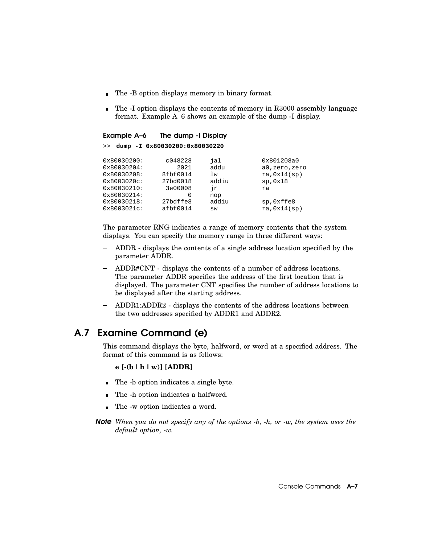- The -B option displays memory in binary format.
- The -I option displays the contents of memory in R3000 assembly language format. Example A–6 shows an example of the dump -I display.

#### Example A–6 The dump -I Display

>> **dump -I 0x80030200:0x80030220**

| 0x80030200:    | c048228  | jal   | 0x801208a0   |
|----------------|----------|-------|--------------|
| 0x80030204:    | 2021     | addu  | a0,zero,zero |
| 0x80030208:    | 8fbf0014 | lw    | ra, 0x14(sp) |
| $0x8003020c$ : | 27bd0018 | addiu | sp,0x18      |
| 0x80030210:    | 3e00008  | ήr    | ra           |
| 0x80030214:    | 0        | nop   |              |
| 0x80030218:    | 27bdffe8 | addiu | sp, Oxffe8   |
| $0x8003021c$ : | afbf0014 | SW    | ra, 0x14(sp) |
|                |          |       |              |

The parameter RNG indicates a range of memory contents that the system displays. You can specify the memory range in three different ways:

- ADDR displays the contents of a single address location specified by the  $\overline{\phantom{0}}$ parameter ADDR.
- ADDR#CNT displays the contents of a number of address locations. The parameter ADDR specifies the address of the first location that is displayed. The parameter CNT specifies the number of address locations to be displayed after the starting address.
- ADDR1:ADDR2 displays the contents of the address locations between  $\qquad \qquad$ the two addresses specified by ADDR1 and ADDR2.

## A.7 Examine Command (e)

This command displays the byte, halfword, or word at a specified address. The format of this command is as follows:

#### **e [-(b |h| w)] [ADDR]**

- The -b option indicates a single byte.
- The -h option indicates a halfword.  $\blacksquare$
- The -w option indicates a word.  $\blacksquare$
- *Note When you do not specify any of the options -b, -h, or -w, the system uses the default option, -w.*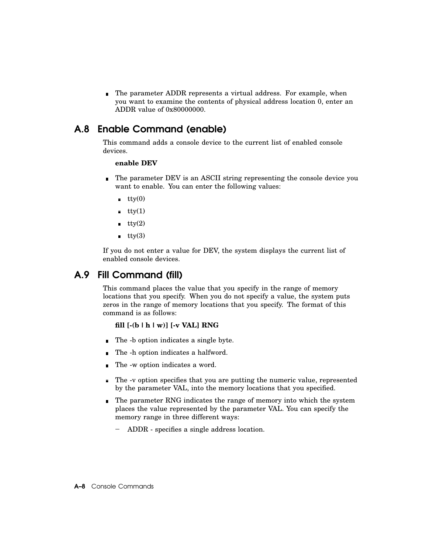The parameter ADDR represents a virtual address. For example, when you want to examine the contents of physical address location 0, enter an ADDR value of 0x80000000.

## A.8 Enable Command (enable)

This command adds a console device to the current list of enabled console devices.

#### **enable DEV**

- The parameter DEV is an ASCII string representing the console device you want to enable. You can enter the following values:
	- $\mathbf{t}$ tty $(0)$
	- $\text{tty}(1)$
	- $\text{try}(2)$
	- $\overline{\text{tty}(3)}$

If you do not enter a value for DEV, the system displays the current list of enabled console devices.

## A.9 Fill Command (fill)

This command places the value that you specify in the range of memory locations that you specify. When you do not specify a value, the system puts zeros in the range of memory locations that you specify. The format of this command is as follows:

#### **fill [-(b |h| w)] [-v VAL] RNG**

- The -b option indicates a single byte.  $\blacksquare$
- The -h option indicates a halfword.  $\blacksquare$
- The -w option indicates a word.  $\blacksquare$
- The -v option specifies that you are putting the numeric value, represented  $\blacksquare$ by the parameter VAL, into the memory locations that you specified.
- The parameter RNG indicates the range of memory into which the system places the value represented by the parameter VAL. You can specify the memory range in three different ways:
	- ADDR specifies a single address location.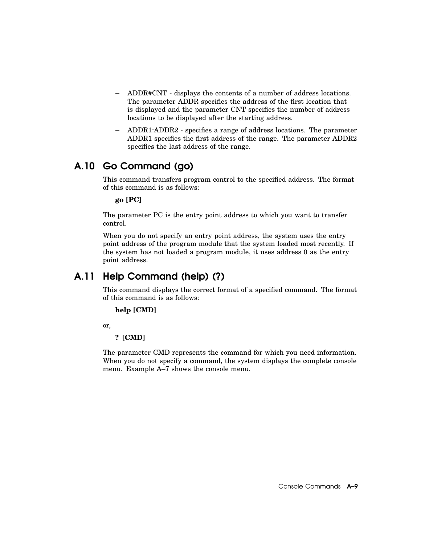- ADDR#CNT displays the contents of a number of address locations. The parameter ADDR specifies the address of the first location that is displayed and the parameter CNT specifies the number of address locations to be displayed after the starting address.
- ADDR1:ADDR2 specifies a range of address locations. The parameter ADDR1 specifies the first address of the range. The parameter ADDR2 specifies the last address of the range.

## A.10 Go Command (go)

This command transfers program control to the specified address. The format of this command is as follows:

**go [PC]**

The parameter PC is the entry point address to which you want to transfer control.

When you do not specify an entry point address, the system uses the entry point address of the program module that the system loaded most recently. If the system has not loaded a program module, it uses address 0 as the entry point address.

## A.11 Help Command (help) (?)

This command displays the correct format of a specified command. The format of this command is as follows:

#### **help [CMD]**

or,

#### **? [CMD]**

The parameter CMD represents the command for which you need information. When you do not specify a command, the system displays the complete console menu. Example A–7 shows the console menu.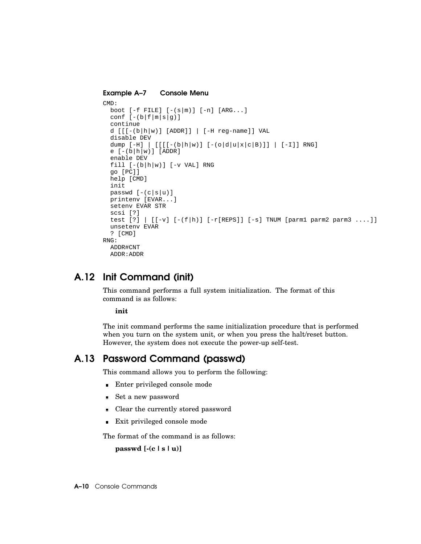#### Example A–7 Console Menu

```
CMD:
  boot [-f FILE] [-(s|m)] [-n] [ARG...]conf [-(b|f|m|s|g)]continue
  d [[[-(b|h|w)] [ADDR]] [[-H reg-name]] VALdisable DEV
  dump [-H] | [ [ [ [ - (b|h|w)] [ - (o|d|u|x|c|B)]] ] | [-I]] RNG]
  e [-(b|h|w)] [ADDR]
  enable DEV
  fill [-(b|h|w)] [-v VAL] RNGgo [PC]]
 help [CMD]
 init
 passwd [-(c|s|u)]
 printenv [EVAR...]
  setenv EVAR STR
 scsi [?]
  test [?] | [[-v] [-(f|h)] [-r[REPS]] [ -s] TNUM [param2 parm3 ...]unsetenv EVAR
  ? [CMD]
RNG:
 ADDR#CNT
  ADDR:ADDR
```
## A.12 Init Command (init)

This command performs a full system initialization. The format of this command is as follows:

**init**

The init command performs the same initialization procedure that is performed when you turn on the system unit, or when you press the halt/reset button. However, the system does not execute the power-up self-test.

## A.13 Password Command (passwd)

This command allows you to perform the following:

- Enter privileged console mode
- Set a new password
- Clear the currently stored password
- Exit privileged console mode  $\blacksquare$

The format of the command is as follows:

**passwd [-(c | s |u)]**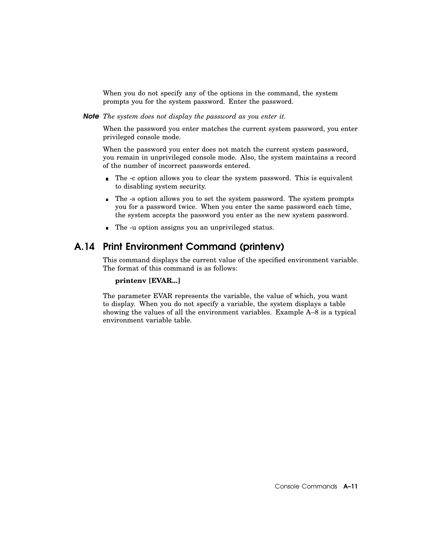When you do not specify any of the options in the command, the system prompts you for the system password. Enter the password.

*Note The system does not display the password as you enter it.*

When the password you enter matches the current system password, you enter privileged console mode.

When the password you enter does not match the current system password, you remain in unprivileged console mode. Also, the system maintains a record of the number of incorrect passwords entered.

- The -c option allows you to clear the system password. This is equivalent  $\blacksquare$ to disabling system security.
- The -s option allows you to set the system password. The system prompts you for a password twice. When you enter the same password each time, the system accepts the password you enter as the new system password.
- The -u option assigns you an unprivileged status.

## A.14 Print Environment Command (printenv)

This command displays the current value of the specified environment variable. The format of this command is as follows:

#### **printenv [EVAR...]**

The parameter EVAR represents the variable, the value of which, you want to display. When you do not specify a variable, the system displays a table showing the values of all the environment variables. Example A–8 is a typical environment variable table.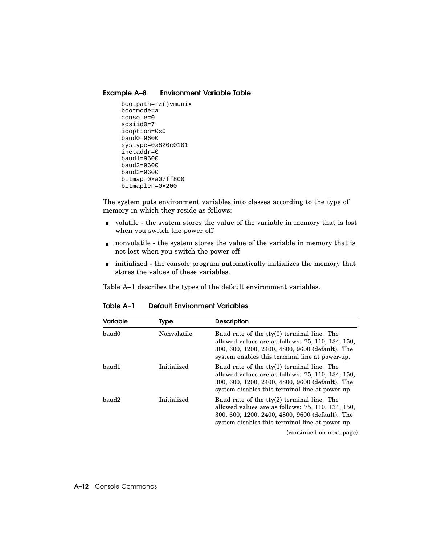#### Example A–8 Environment Variable Table

```
bootpath=rz()vmunix
bootmode=a
console=0
scsiid0=7
iooption=0x0
baud0=9600
systype=0x820c0101
inetaddr=0
baud1=9600
baud2=9600
baud3=9600
bitmap=0xa07ff800
bitmaplen=0x200
```
The system puts environment variables into classes according to the type of memory in which they reside as follows:

- volatile the system stores the value of the variable in memory that is lost when you switch the power off
- nonvolatile the system stores the value of the variable in memory that is not lost when you switch the power off
- initialized the console program automatically initializes the memory that stores the values of these variables.

Table A–1 describes the types of the default environment variables.

| <b>Variable</b> | Type        | <b>Description</b>                                                                                                                                                                                             |
|-----------------|-------------|----------------------------------------------------------------------------------------------------------------------------------------------------------------------------------------------------------------|
| baud0           | Nonvolatile | Baud rate of the tty(0) terminal line. The<br>allowed values are as follows: 75, 110, 134, 150,<br>300, 600, 1200, 2400, 4800, 9600 (default). The<br>system enables this terminal line at power-up.           |
| baud1           | Initialized | Baud rate of the $tty(1)$ terminal line. The<br>allowed values are as follows: 75, 110, 134, 150,<br>300, 600, 1200, 2400, 4800, 9600 (default). The<br>system disables this terminal line at power-up.        |
| baud2           | Initialized | Baud rate of the $\text{tty}(2)$ terminal line. The<br>allowed values are as follows: 75, 110, 134, 150,<br>300, 600, 1200, 2400, 4800, 9600 (default). The<br>system disables this terminal line at power-up. |
|                 |             | (continued on next page)                                                                                                                                                                                       |

Table A–1 Default Environment Variables

A–12 Console Commands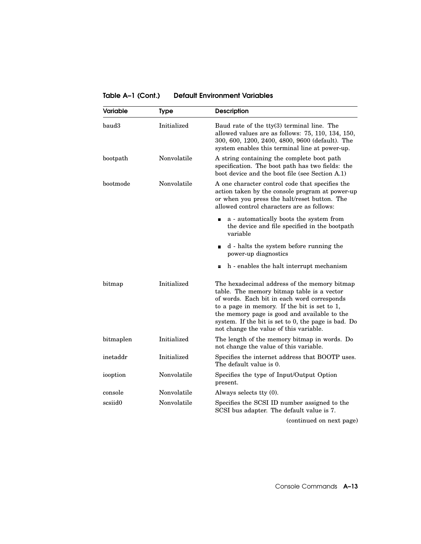Table A–1 (Cont.) Default Environment Variables

| Variable  | <b>Type</b> | <b>Description</b>                                                                                                                                                                                                                                                                                                                         |  |
|-----------|-------------|--------------------------------------------------------------------------------------------------------------------------------------------------------------------------------------------------------------------------------------------------------------------------------------------------------------------------------------------|--|
| baud3     | Initialized | Baud rate of the tty(3) terminal line. The<br>allowed values are as follows: 75, 110, 134, 150,<br>300, 600, 1200, 2400, 4800, 9600 (default). The<br>system enables this terminal line at power-up.                                                                                                                                       |  |
| bootpath  | Nonvolatile | A string containing the complete boot path<br>specification. The boot path has two fields: the<br>boot device and the boot file (see Section A.1)                                                                                                                                                                                          |  |
| bootmode  | Nonvolatile | A one character control code that specifies the<br>action taken by the console program at power-up<br>or when you press the halt/reset button. The<br>allowed control characters are as follows:                                                                                                                                           |  |
|           |             | a - automatically boots the system from<br>п<br>the device and file specified in the bootpath<br>variable                                                                                                                                                                                                                                  |  |
|           |             | d - halts the system before running the<br>$\blacksquare$<br>power-up diagnostics                                                                                                                                                                                                                                                          |  |
|           |             | h - enables the halt interrupt mechanism<br>П                                                                                                                                                                                                                                                                                              |  |
| bitmap    | Initialized | The hexadecimal address of the memory bitmap<br>table. The memory bitmap table is a vector<br>of words. Each bit in each word corresponds<br>to a page in memory. If the bit is set to 1,<br>the memory page is good and available to the<br>system. If the bit is set to 0, the page is bad. Do<br>not change the value of this variable. |  |
| bitmaplen | Initialized | The length of the memory bitmap in words. Do<br>not change the value of this variable.                                                                                                                                                                                                                                                     |  |
| inetaddr  | Initialized | Specifies the internet address that BOOTP uses.<br>The default value is 0.                                                                                                                                                                                                                                                                 |  |
| iooption  | Nonvolatile | Specifies the type of Input/Output Option<br>present.                                                                                                                                                                                                                                                                                      |  |
| console   | Nonvolatile | Always selects tty (0).                                                                                                                                                                                                                                                                                                                    |  |
| scsiid0   | Nonvolatile | Specifies the SCSI ID number assigned to the<br>SCSI bus adapter. The default value is 7.                                                                                                                                                                                                                                                  |  |
|           |             | (continued on next page)                                                                                                                                                                                                                                                                                                                   |  |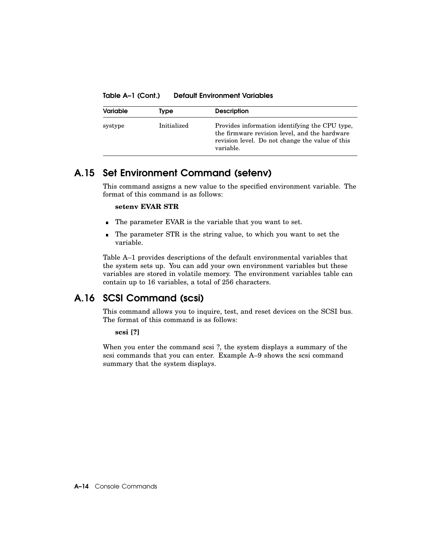Table A–1 (Cont.) Default Environment Variables

| <b>Variable</b> | <b>Type</b> | <b>Description</b>                                                                                                                                              |
|-----------------|-------------|-----------------------------------------------------------------------------------------------------------------------------------------------------------------|
| systype         | Initialized | Provides information identifying the CPU type.<br>the firmware revision level, and the hardware<br>revision level. Do not change the value of this<br>variable. |

## A.15 Set Environment Command (setenv)

This command assigns a new value to the specified environment variable. The format of this command is as follows:

#### **setenv EVAR STR**

- The parameter EVAR is the variable that you want to set.
- The parameter STR is the string value, to which you want to set the  $\blacksquare$ variable.

Table A–1 provides descriptions of the default environmental variables that the system sets up. You can add your own environment variables but these variables are stored in volatile memory. The environment variables table can contain up to 16 variables, a total of 256 characters.

## A.16 SCSI Command (scsi)

This command allows you to inquire, test, and reset devices on the SCSI bus. The format of this command is as follows:

#### **scsi [?]**

When you enter the command scsi ?, the system displays a summary of the scsi commands that you can enter. Example A–9 shows the scsi command summary that the system displays.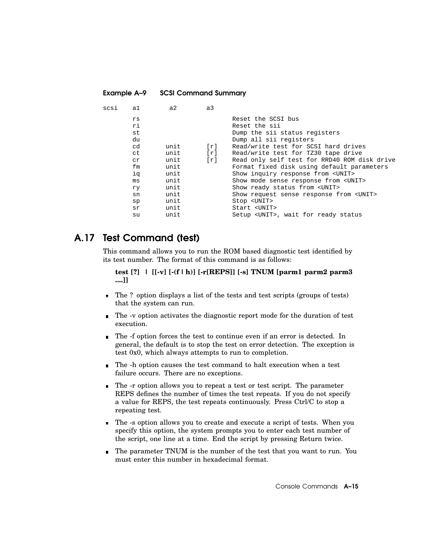| scsi | a1  | a2   | a3                |                                                |
|------|-----|------|-------------------|------------------------------------------------|
|      | rs  |      |                   | Reset the SCSI bus                             |
|      | ri  |      |                   | Reset the sii                                  |
|      | st  |      |                   | Dump the sii status registers                  |
|      | du  |      |                   | Dump all sii registers                         |
|      | cd  | unit | $\lceil r \rceil$ | Read/write test for SCSI hard drives           |
|      | ct  | unit | $\lceil r \rceil$ | Read/write test for TZ30 tape drive            |
|      | cr  | unit | $\lceil r \rceil$ | Read only self test for RRD40 ROM disk drive   |
|      | fm  | unit |                   | Format fixed disk using default parameters     |
|      | iq  | unit |                   | Show inquiry response from <unit></unit>       |
|      | ms  | unit |                   | Show mode sense response from <unit></unit>    |
|      | ry. | unit |                   | Show ready status from <unit></unit>           |
|      | sn  | unit |                   | Show request sense response from <unit></unit> |
|      | sp  | unit |                   | Stop <unit></unit>                             |
|      | sr  | unit |                   | Start <unit></unit>                            |
|      | su  | unit |                   | Setup <unit>, wait for ready status</unit>     |
|      |     |      |                   |                                                |

## A.17 Test Command (test)

Example A–9 SCSI Command Summary

This command allows you to run the ROM based diagnostic test identified by its test number. The format of this command is as follows:

**test [?] | [[-v] [-(f |h)] [-r[REPS]] [-s] TNUM [parm1 parm2 parm3 ....]]**

- The ? option displays a list of the tests and test scripts (groups of tests)  $\blacksquare$ that the system can run.
- The -v option activates the diagnostic report mode for the duration of test  $\blacksquare$ execution.
- The -f option forces the test to continue even if an error is detected. In general, the default is to stop the test on error detection. The exception is test 0x0, which always attempts to run to completion.
- The -h option causes the test command to halt execution when a test failure occurs. There are no exceptions.
- The -r option allows you to repeat a test or test script. The parameter REPS defines the number of times the test repeats. If you do not specify a value for REPS, the test repeats continuously. Press Ctrl/C to stop a repeating test.
- The -s option allows you to create and execute a script of tests. When you specify this option, the system prompts you to enter each test number of the script, one line at a time. End the script by pressing Return twice.
- The parameter TNUM is the number of the test that you want to run. You must enter this number in hexadecimal format.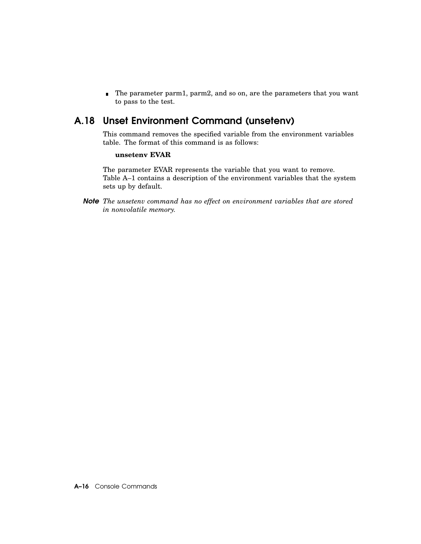■ The parameter parm1, parm2, and so on, are the parameters that you want to pass to the test.

## A.18 Unset Environment Command (unsetenv)

This command removes the specified variable from the environment variables table. The format of this command is as follows:

#### **unsetenv EVAR**

The parameter EVAR represents the variable that you want to remove. Table A–1 contains a description of the environment variables that the system sets up by default.

*Note The unsetenv command has no effect on environment variables that are stored in nonvolatile memory.*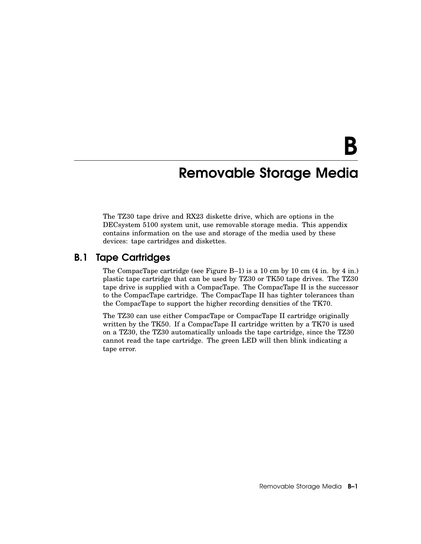# B

## Removable Storage Media

The TZ30 tape drive and RX23 diskette drive, which are options in the DECsystem 5100 system unit, use removable storage media. This appendix contains information on the use and storage of the media used by these devices: tape cartridges and diskettes.

## B.1 Tape Cartridges

The CompacTape cartridge (see Figure B–1) is a 10 cm by 10 cm (4 in. by 4 in.) plastic tape cartridge that can be used by TZ30 or TK50 tape drives. The TZ30 tape drive is supplied with a CompacTape. The CompacTape II is the successor to the CompacTape cartridge. The CompacTape II has tighter tolerances than the CompacTape to support the higher recording densities of the TK70.

The TZ30 can use either CompacTape or CompacTape II cartridge originally written by the TK50. If a CompacTape II cartridge written by a TK70 is used on a TZ30, the TZ30 automatically unloads the tape cartridge, since the TZ30 cannot read the tape cartridge. The green LED will then blink indicating a tape error.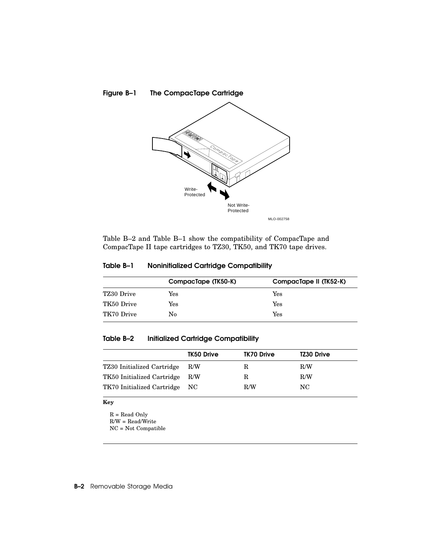

Table B–2 and Table B–1 show the compatibility of CompacTape and CompacTape II tape cartridges to TZ30, TK50, and TK70 tape drives.

|  | Table B–1 | <b>Noninitialized Cartridge Compatibility</b> |  |  |
|--|-----------|-----------------------------------------------|--|--|
|--|-----------|-----------------------------------------------|--|--|

|            | CompacTape (TK50-K) | CompacTape II (TK52-K) |
|------------|---------------------|------------------------|
| TZ30 Drive | Yes                 | Yes                    |
| TK50 Drive | Yes                 | Yes                    |
| TK70 Drive | No                  | Yes                    |

## Table B–2 Initialized Cartridge Compatibility

|                                | TK50 Drive | TK70 Drive | <b>TZ30 Drive</b> |
|--------------------------------|------------|------------|-------------------|
| TZ30 Initialized Cartridge     | R/W        | R          | R/W               |
| TK50 Initialized Cartridge R/W |            | R          | R/W               |
| TK70 Initialized Cartridge NC  |            | R/W        | NC.               |

#### **Key**

 $\mathbf{R} = \mathbf{Read}$  Only R/W = Read/Write

NC = Not Compatible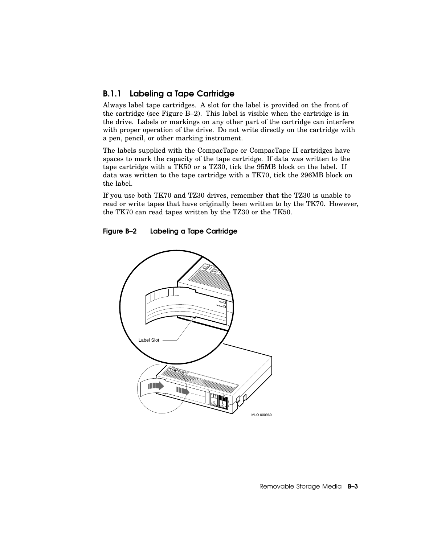## B.1.1 Labeling a Tape Cartridge

Always label tape cartridges. A slot for the label is provided on the front of the cartridge (see Figure B–2). This label is visible when the cartridge is in the drive. Labels or markings on any other part of the cartridge can interfere with proper operation of the drive. Do not write directly on the cartridge with a pen, pencil, or other marking instrument.

The labels supplied with the CompacTape or CompacTape II cartridges have spaces to mark the capacity of the tape cartridge. If data was written to the tape cartridge with a TK50 or a TZ30, tick the 95MB block on the label. If data was written to the tape cartridge with a TK70, tick the 296MB block on the label.

If you use both TK70 and TZ30 drives, remember that the TZ30 is unable to read or write tapes that have originally been written to by the TK70. However, the TK70 can read tapes written by the TZ30 or the TK50.

#### Figure B–2 Labeling a Tape Cartridge



Removable Storage Media **B-3**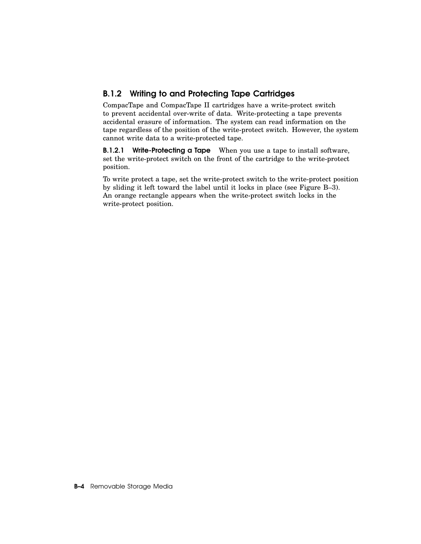## B.1.2 Writing to and Protecting Tape Cartridges

CompacTape and CompacTape II cartridges have a write-protect switch to prevent accidental over-write of data. Write-protecting a tape prevents accidental erasure of information. The system can read information on the tape regardless of the position of the write-protect switch. However, the system cannot write data to a write-protected tape.

**B.1.2.1** Write-Protecting a Tape When you use a tape to install software, set the write-protect switch on the front of the cartridge to the write-protect position.

To write protect a tape, set the write-protect switch to the write-protect position by sliding it left toward the label until it locks in place (see Figure B–3). An orange rectangle appears when the write-protect switch locks in the write-protect position.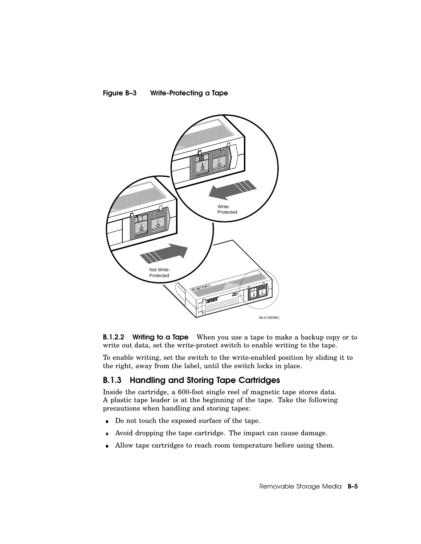



**B.1.2.2** Writing to a Tape When you use a tape to make a backup copy or to write out data, set the write-protect switch to enable writing to the tape.

To enable writing, set the switch to the write-enabled position by sliding it to the right, away from the label, until the switch locks in place.

### B.1.3 Handling and Storing Tape Cartridges

Inside the cartridge, a 600-foot single reel of magnetic tape stores data. A plastic tape leader is at the beginning of the tape. Take the following precautions when handling and storing tapes:

- Do not touch the exposed surface of the tape.  $\blacksquare$
- Avoid dropping the tape cartridge. The impact can cause damage.  $\blacksquare$
- Allow tape cartridges to reach room temperature before using them. n.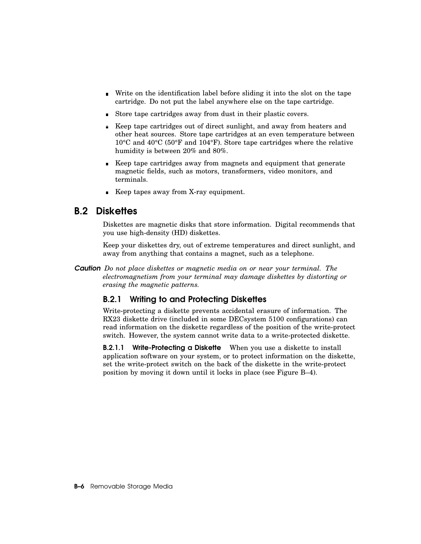- Write on the identification label before sliding it into the slot on the tape cartridge. Do not put the label anywhere else on the tape cartridge.
- Store tape cartridges away from dust in their plastic covers.
- Keep tape cartridges out of direct sunlight, and away from heaters and other heat sources. Store tape cartridges at an even temperature between 10°C and 40°C (50°F and 104°F). Store tape cartridges where the relative humidity is between 20% and 80%.
- Keep tape cartridges away from magnets and equipment that generate magnetic fields, such as motors, transformers, video monitors, and terminals.
- Keep tapes away from X-ray equipment.

## B.2 Diskettes

Diskettes are magnetic disks that store information. Digital recommends that you use high-density (HD) diskettes.

Keep your diskettes dry, out of extreme temperatures and direct sunlight, and away from anything that contains a magnet, such as a telephone.

*Caution Do not place diskettes or magnetic media on or near your terminal. The electromagnetism from your terminal may damage diskettes by distorting or erasing the magnetic patterns.*

## B.2.1 Writing to and Protecting Diskettes

Write-protecting a diskette prevents accidental erasure of information. The RX23 diskette drive (included in some DECsystem 5100 configurations) can read information on the diskette regardless of the position of the write-protect switch. However, the system cannot write data to a write-protected diskette.

**B.2.1.1** Write-Protecting a Diskette When you use a diskette to install application software on your system, or to protect information on the diskette, set the write-protect switch on the back of the diskette in the write-protect position by moving it down until it locks in place (see Figure B–4).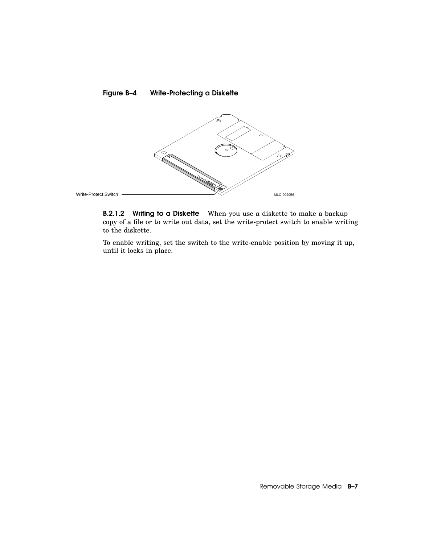

**B.2.1.2** Writing to a Diskette When you use a diskette to make a backup copy of a file or to write out data, set the write-protect switch to enable writing to the diskette.

To enable writing, set the switch to the write-enable position by moving it up, until it locks in place.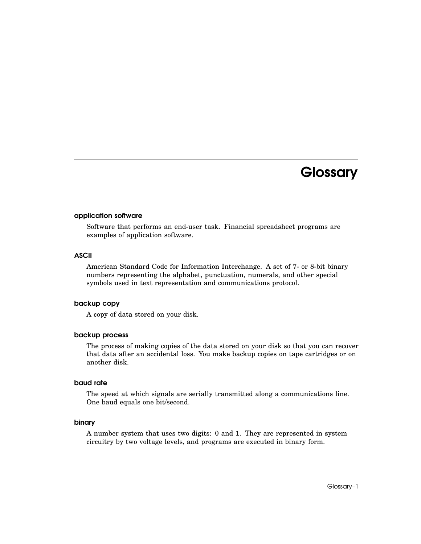## **Glossary**

#### application software

Software that performs an end-user task. Financial spreadsheet programs are examples of application software.

#### ASCII

American Standard Code for Information Interchange. A set of 7- or 8-bit binary numbers representing the alphabet, punctuation, numerals, and other special symbols used in text representation and communications protocol.

#### backup copy

A copy of data stored on your disk.

#### backup process

The process of making copies of the data stored on your disk so that you can recover that data after an accidental loss. You make backup copies on tape cartridges or on another disk.

#### baud rate

The speed at which signals are serially transmitted along a communications line. One baud equals one bit/second.

#### binary

A number system that uses two digits: 0 and 1. They are represented in system circuitry by two voltage levels, and programs are executed in binary form.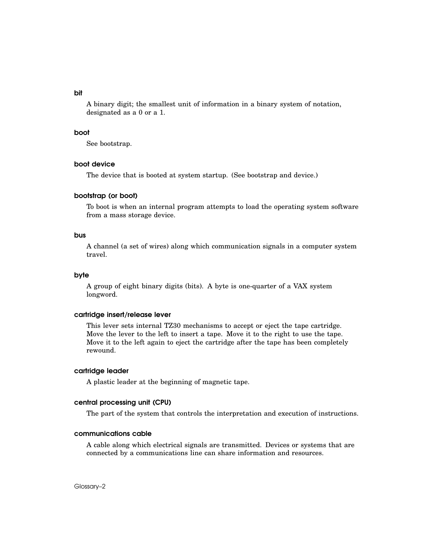#### bit

A binary digit; the smallest unit of information in a binary system of notation, designated as a 0 or a 1.

### boot

See bootstrap.

### boot device

The device that is booted at system startup. (See bootstrap and device.)

#### bootstrap (or boot)

To boot is when an internal program attempts to load the operating system software from a mass storage device.

#### bus

A channel (a set of wires) along which communication signals in a computer system travel.

### byte

A group of eight binary digits (bits). A byte is one-quarter of a VAX system longword.

#### cartridge insert/release lever

This lever sets internal TZ30 mechanisms to accept or eject the tape cartridge. Move the lever to the left to insert a tape. Move it to the right to use the tape. Move it to the left again to eject the cartridge after the tape has been completely rewound.

#### cartridge leader

A plastic leader at the beginning of magnetic tape.

#### central processing unit (CPU)

The part of the system that controls the interpretation and execution of instructions.

#### communications cable

A cable along which electrical signals are transmitted. Devices or systems that are connected by a communications line can share information and resources.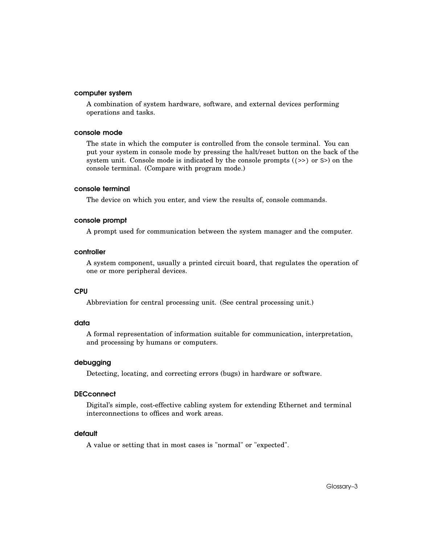#### computer system

A combination of system hardware, software, and external devices performing operations and tasks.

### console mode

The state in which the computer is controlled from the console terminal. You can put your system in console mode by pressing the halt/reset button on the back of the system unit. Console mode is indicated by the console prompts ( $(\gg)$  or  $\gg$ ) on the console terminal. (Compare with program mode.)

#### console terminal

The device on which you enter, and view the results of, console commands.

### console prompt

A prompt used for communication between the system manager and the computer.

#### controller

A system component, usually a printed circuit board, that regulates the operation of one or more peripheral devices.

# CPU

Abbreviation for central processing unit. (See central processing unit.)

### data

A formal representation of information suitable for communication, interpretation, and processing by humans or computers.

### debugging

Detecting, locating, and correcting errors (bugs) in hardware or software.

# **DECconnect**

Digital's simple, cost-effective cabling system for extending Ethernet and terminal interconnections to offices and work areas.

#### default

A value or setting that in most cases is "normal" or "expected".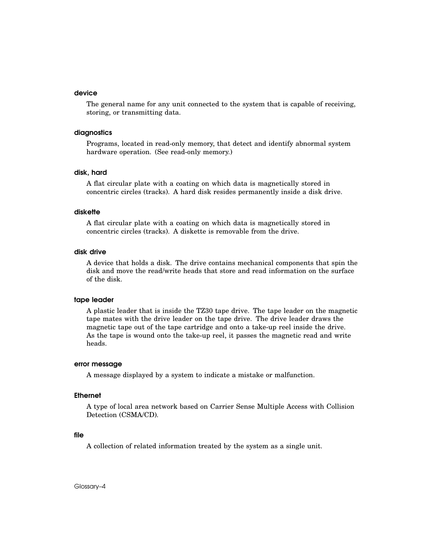#### device

The general name for any unit connected to the system that is capable of receiving, storing, or transmitting data.

### diagnostics

Programs, located in read-only memory, that detect and identify abnormal system hardware operation. (See read-only memory.)

#### disk, hard

A flat circular plate with a coating on which data is magnetically stored in concentric circles (tracks). A hard disk resides permanently inside a disk drive.

#### diskette

A flat circular plate with a coating on which data is magnetically stored in concentric circles (tracks). A diskette is removable from the drive.

#### disk drive

A device that holds a disk. The drive contains mechanical components that spin the disk and move the read/write heads that store and read information on the surface of the disk.

#### tape leader

A plastic leader that is inside the TZ30 tape drive. The tape leader on the magnetic tape mates with the drive leader on the tape drive. The drive leader draws the magnetic tape out of the tape cartridge and onto a take-up reel inside the drive. As the tape is wound onto the take-up reel, it passes the magnetic read and write heads.

#### error message

A message displayed by a system to indicate a mistake or malfunction.

#### **Ethernet**

A type of local area network based on Carrier Sense Multiple Access with Collision Detection (CSMA/CD).

#### file

A collection of related information treated by the system as a single unit.

Glossary–4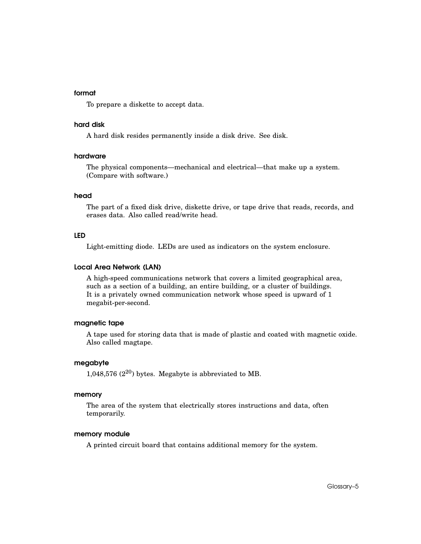#### format

To prepare a diskette to accept data.

### hard disk

A hard disk resides permanently inside a disk drive. See disk.

#### hardware

The physical components—mechanical and electrical—that make up a system. (Compare with software.)

#### head

The part of a fixed disk drive, diskette drive, or tape drive that reads, records, and erases data. Also called read/write head.

### LED

Light-emitting diode. LEDs are used as indicators on the system enclosure.

#### Local Area Network (LAN)

A high-speed communications network that covers a limited geographical area, such as a section of a building, an entire building, or a cluster of buildings. It is a privately owned communication network whose speed is upward of 1 megabit-per-second.

### magnetic tape

A tape used for storing data that is made of plastic and coated with magnetic oxide. Also called magtape.

### megabyte

1,048,576  $(2^{20})$  bytes. Megabyte is abbreviated to MB.

#### memory

The area of the system that electrically stores instructions and data, often temporarily.

### memory module

A printed circuit board that contains additional memory for the system.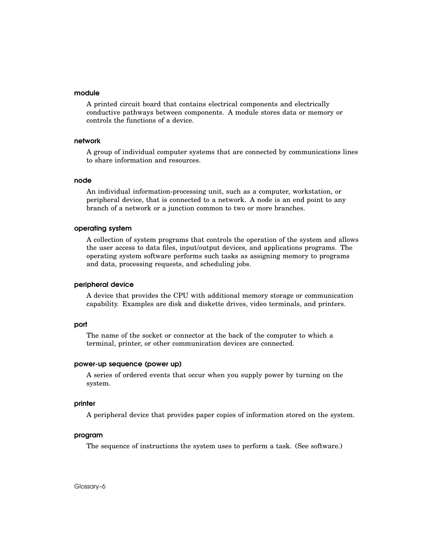#### module

A printed circuit board that contains electrical components and electrically conductive pathways between components. A module stores data or memory or controls the functions of a device.

#### network

A group of individual computer systems that are connected by communications lines to share information and resources.

#### node

An individual information-processing unit, such as a computer, workstation, or peripheral device, that is connected to a network. A node is an end point to any branch of a network or a junction common to two or more branches.

#### operating system

A collection of system programs that controls the operation of the system and allows the user access to data files, input/output devices, and applications programs. The operating system software performs such tasks as assigning memory to programs and data, processing requests, and scheduling jobs.

#### peripheral device

A device that provides the CPU with additional memory storage or communication capability. Examples are disk and diskette drives, video terminals, and printers.

#### port

The name of the socket or connector at the back of the computer to which a terminal, printer, or other communication devices are connected.

#### power-up sequence (power up)

A series of ordered events that occur when you supply power by turning on the system.

#### printer

A peripheral device that provides paper copies of information stored on the system.

#### program

The sequence of instructions the system uses to perform a task. (See software.)

Glossary–6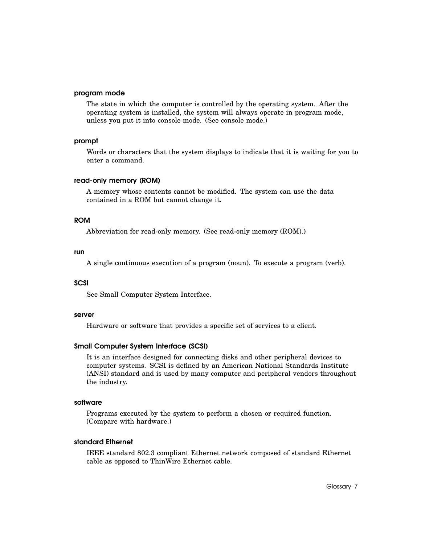#### program mode

The state in which the computer is controlled by the operating system. After the operating system is installed, the system will always operate in program mode, unless you put it into console mode. (See console mode.)

#### prompt

Words or characters that the system displays to indicate that it is waiting for you to enter a command.

#### read-only memory (ROM)

A memory whose contents cannot be modified. The system can use the data contained in a ROM but cannot change it.

# ROM

Abbreviation for read-only memory. (See read-only memory (ROM).)

#### run

A single continuous execution of a program (noun). To execute a program (verb).

# **SCSI**

See Small Computer System Interface.

#### server

Hardware or software that provides a specific set of services to a client.

#### Small Computer System Interface (SCSI)

It is an interface designed for connecting disks and other peripheral devices to computer systems. SCSI is defined by an American National Standards Institute (ANSI) standard and is used by many computer and peripheral vendors throughout the industry.

#### software

Programs executed by the system to perform a chosen or required function. (Compare with hardware.)

### standard Ethernet

IEEE standard 802.3 compliant Ethernet network composed of standard Ethernet cable as opposed to ThinWire Ethernet cable.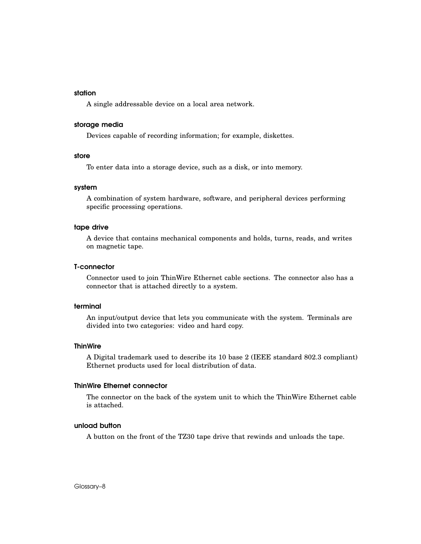### station

A single addressable device on a local area network.

### storage media

Devices capable of recording information; for example, diskettes.

#### store

To enter data into a storage device, such as a disk, or into memory.

#### system

A combination of system hardware, software, and peripheral devices performing specific processing operations.

#### tape drive

A device that contains mechanical components and holds, turns, reads, and writes on magnetic tape.

#### T-connector

Connector used to join ThinWire Ethernet cable sections. The connector also has a connector that is attached directly to a system.

#### terminal

An input/output device that lets you communicate with the system. Terminals are divided into two categories: video and hard copy.

#### **ThinWire**

A Digital trademark used to describe its 10 base 2 (IEEE standard 802.3 compliant) Ethernet products used for local distribution of data.

#### ThinWire Ethernet connector

The connector on the back of the system unit to which the ThinWire Ethernet cable is attached.

#### unload button

A button on the front of the TZ30 tape drive that rewinds and unloads the tape.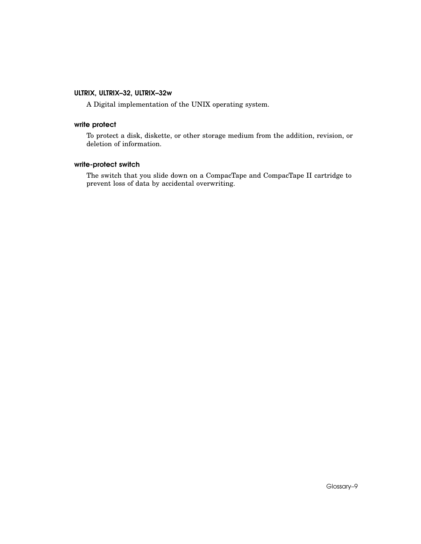# ULTRIX, ULTRIX–32, ULTRIX–32w

A Digital implementation of the UNIX operating system.

# write protect

To protect a disk, diskette, or other storage medium from the addition, revision, or deletion of information.

# write-protect switch

The switch that you slide down on a CompacTape and CompacTape II cartridge to prevent loss of data by accidental overwriting.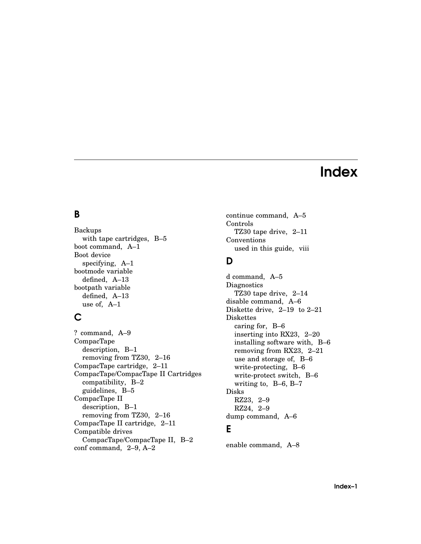# Index

# B

Backups with tape cartridges, B–5 boot command, A–1 Boot device specifying, A–1 bootmode variable defined, A–13 bootpath variable defined, A–13 use of, A–1

# C

? command, A–9 CompacTape description, B–1 removing from TZ30, 2–16 CompacTape cartridge, 2–11 CompacTape/CompacTape II Cartridges compatibility, B–2 guidelines, B–5 CompacTape II description, B–1 removing from TZ30, 2–16 CompacTape II cartridge, 2–11 Compatible drives CompacTape/CompacTape II, B–2 conf command, 2–9, A–2

continue command, A–5 Controls TZ30 tape drive, 2–11 Conventions used in this guide, viii

# D

d command, A–5 **Diagnostics** TZ30 tape drive, 2–14 disable command, A–6 Diskette drive, 2–19 to 2–21 Diskettes caring for, B–6 inserting into RX23, 2–20 installing software with, B–6 removing from RX23, 2–21 use and storage of, B–6 write-protecting, B–6 write-protect switch, B–6 writing to, B–6, B–7 Disks RZ23, 2–9 RZ24, 2–9 dump command, A–6

# E

enable command, A–8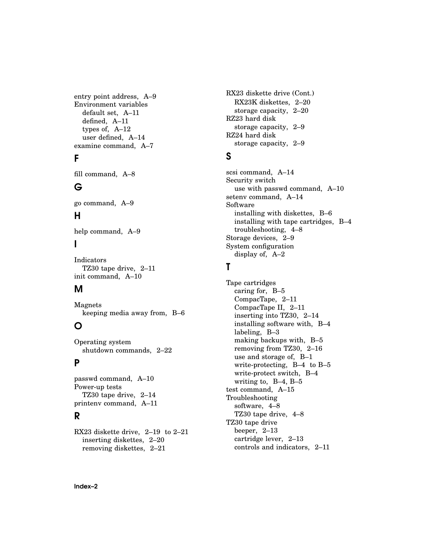entry point address, A–9 Environment variables default set, A–11 defined, A–11 types of, A–12 user defined, A–14 examine command, A–7

# F

fill command, A–8

# G

go command, A–9

# H

help command, A–9

# I

Indicators TZ30 tape drive, 2–11 init command, A–10

# M

Magnets keeping media away from, B–6

# O

Operating system shutdown commands, 2–22

# P

passwd command, A–10 Power-up tests TZ30 tape drive, 2–14 printenv command, A–11

# R

RX23 diskette drive, 2–19 to 2–21 inserting diskettes, 2–20 removing diskettes, 2–21

RX23 diskette drive (Cont.) RX23K diskettes, 2–20 storage capacity, 2–20 RZ23 hard disk storage capacity, 2–9 RZ24 hard disk storage capacity, 2–9

# S

scsi command, A–14 Security switch use with passwd command, A–10 setenv command, A–14 Software installing with diskettes, B–6 installing with tape cartridges, B–4 troubleshooting, 4–8 Storage devices, 2–9 System configuration display of, A–2

# T

Tape cartridges caring for, B–5 CompacTape, 2–11 CompacTape II, 2–11 inserting into TZ30, 2–14 installing software with, B–4 labeling, B–3 making backups with, B–5 removing from TZ30, 2–16 use and storage of, B–1 write-protecting, B–4 to B–5 write-protect switch, B–4 writing to, B–4, B–5 test command, A–15 Troubleshooting software, 4–8 TZ30 tape drive, 4–8 TZ30 tape drive beeper, 2–13 cartridge lever, 2–13 controls and indicators, 2–11